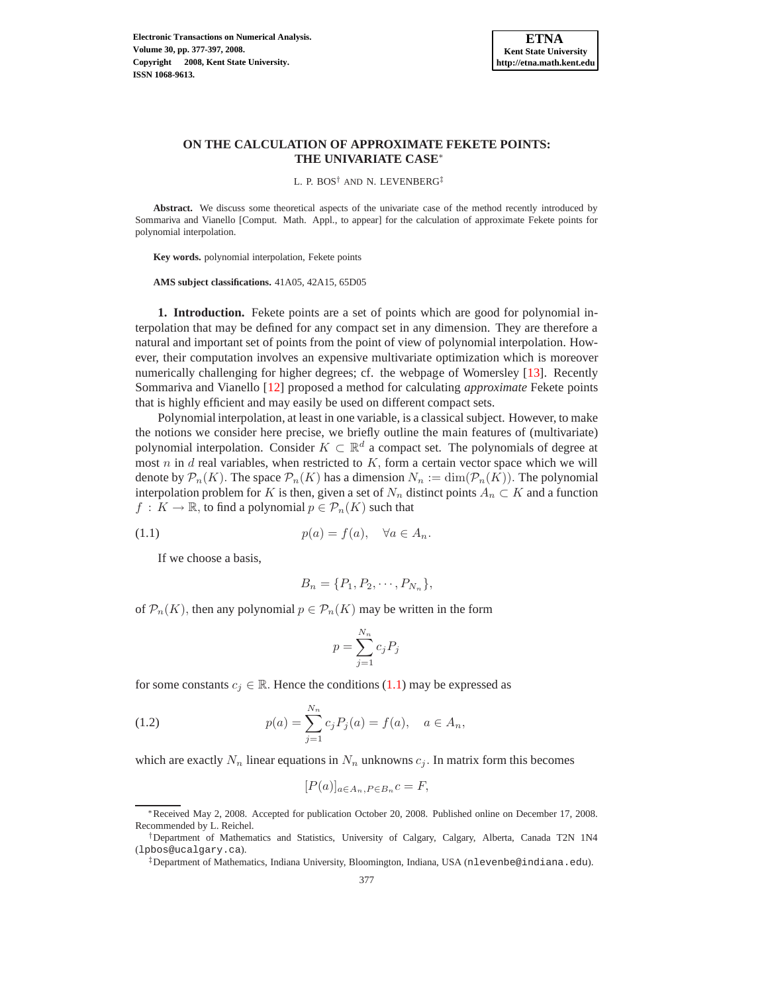

# **ON THE CALCULATION OF APPROXIMATE FEKETE POINTS: THE UNIVARIATE CASE**∗

L. P. BOS† AND N. LEVENBERG‡

**Abstract.** We discuss some theoretical aspects of the univariate case of the method recently introduced by Sommariva and Vianello [Comput. Math. Appl., to appear] for the calculation of approximate Fekete points for polynomial interpolation.

**Key words.** polynomial interpolation, Fekete points

**AMS subject classifications.** 41A05, 42A15, 65D05

**1. Introduction.** Fekete points are a set of points which are good for polynomial interpolation that may be defined for any compact set in any dimension. They are therefore a natural and important set of points from the point of view of polynomial interpolation. However, their computation involves an expensive multivariate optimization which is moreover numerically challenging for higher degrees; cf. the webpage of Womersley [\[13\]](#page-20-0). Recently Sommariva and Vianello [\[12\]](#page-20-1) proposed a method for calculating *approximate* Fekete points that is highly efficient and may easily be used on different compact sets.

Polynomial interpolation, at least in one variable, is a classical subject. However, to make the notions we consider here precise, we briefly outline the main features of (multivariate) polynomial interpolation. Consider  $K \subset \mathbb{R}^d$  a compact set. The polynomials of degree at most  $n$  in  $d$  real variables, when restricted to  $K$ , form a certain vector space which we will denote by  $\mathcal{P}_n(K)$ . The space  $\mathcal{P}_n(K)$  has a dimension  $N_n := \dim(\mathcal{P}_n(K))$ . The polynomial interpolation problem for K is then, given a set of  $N_n$  distinct points  $A_n \subset K$  and a function  $f: K \to \mathbb{R}$ , to find a polynomial  $p \in \mathcal{P}_n(K)$  such that

(1.1) 
$$
p(a) = f(a), \quad \forall a \in A_n.
$$

<span id="page-0-0"></span>If we choose a basis,

$$
B_n = \{P_1, P_2, \cdots, P_{N_n}\},\
$$

of  $\mathcal{P}_n(K)$ , then any polynomial  $p \in \mathcal{P}_n(K)$  may be written in the form

$$
p = \sum_{j=1}^{N_n} c_j P_j
$$

for some constants  $c_i \in \mathbb{R}$ . Hence the conditions [\(1.1\)](#page-0-0) may be expressed as

(1.2) 
$$
p(a) = \sum_{j=1}^{N_n} c_j P_j(a) = f(a), \quad a \in A_n,
$$

which are exactly  $N_n$  linear equations in  $N_n$  unknowns  $c_j$ . In matrix form this becomes

$$
[P(a)]_{a \in A_n, P \in B_n}c = F,
$$

<sup>∗</sup>Received May 2, 2008. Accepted for publication October 20, 2008. Published online on December 17, 2008. Recommended by L. Reichel.

<sup>†</sup>Department of Mathematics and Statistics, University of Calgary, Calgary, Alberta, Canada T2N 1N4 (lpbos@ucalgary.ca).

<sup>‡</sup>Department of Mathematics, Indiana University, Bloomington, Indiana, USA (nlevenbe@indiana.edu).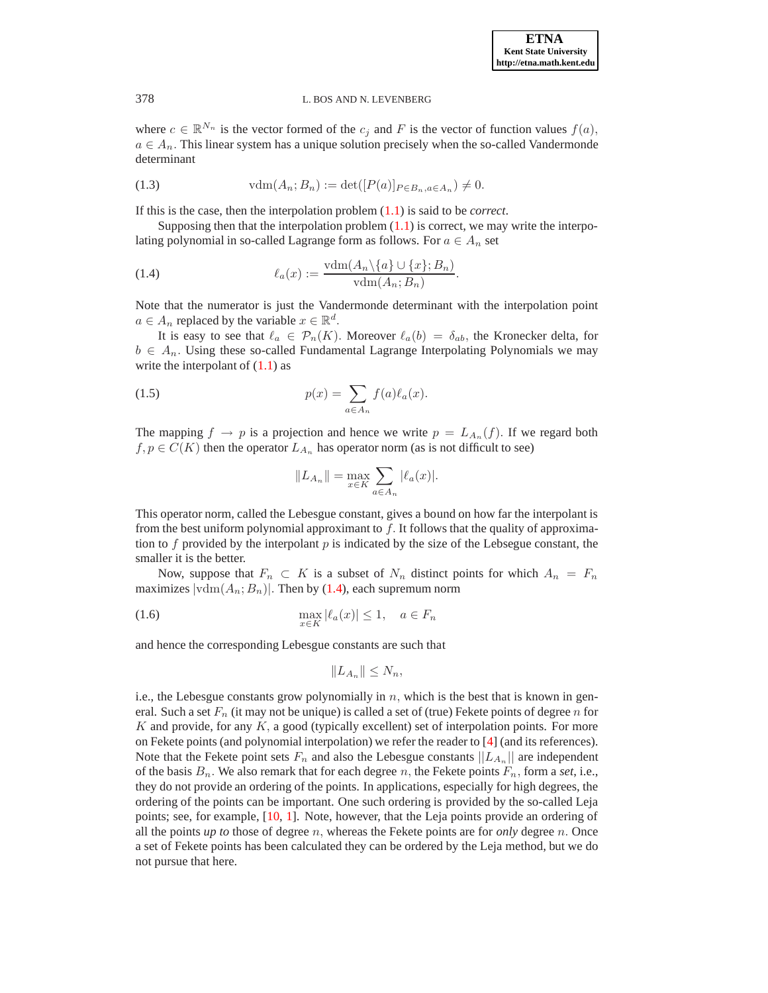**ETNA Kent State University http://etna.math.kent.edu**

#### 378 L. BOS AND N. LEVENBERG

where  $c \in \mathbb{R}^{N_n}$  is the vector formed of the  $c_j$  and F is the vector of function values  $f(a)$ ,  $a \in A_n$ . This linear system has a unique solution precisely when the so-called Vandermonde determinant

(1.3) 
$$
\text{vdm}(A_n; B_n) := \det([P(a)]_{P \in B_n, a \in A_n}) \neq 0.
$$

If this is the case, then the interpolation problem [\(1.1\)](#page-0-0) is said to be *correct*.

Supposing then that the interpolation problem  $(1.1)$  is correct, we may write the interpolating polynomial in so-called Lagrange form as follows. For  $a \in A_n$  set

<span id="page-1-0"></span>(1.4) 
$$
\ell_a(x) := \frac{\text{vdm}(A_n \setminus \{a\} \cup \{x\}; B_n)}{\text{vdm}(A_n; B_n)}.
$$

Note that the numerator is just the Vandermonde determinant with the interpolation point  $a \in A_n$  replaced by the variable  $x \in \mathbb{R}^d$ .

It is easy to see that  $\ell_a \in \mathcal{P}_n(K)$ . Moreover  $\ell_a(b) = \delta_{ab}$ , the Kronecker delta, for  $b \in A_n$ . Using these so-called Fundamental Lagrange Interpolating Polynomials we may write the interpolant of  $(1.1)$  as

(1.5) 
$$
p(x) = \sum_{a \in A_n} f(a) \ell_a(x).
$$

The mapping  $f \to p$  is a projection and hence we write  $p = L_{A_n}(f)$ . If we regard both  $f, p \in C(K)$  then the operator  $L_{A_n}$  has operator norm (as is not difficult to see)

$$
||L_{A_n}|| = \max_{x \in K} \sum_{a \in A_n} |\ell_a(x)|.
$$

This operator norm, called the Lebesgue constant, gives a bound on how far the interpolant is from the best uniform polynomial approximant to  $f$ . It follows that the quality of approximation to  $f$  provided by the interpolant  $p$  is indicated by the size of the Lebsegue constant, the smaller it is the better.

Now, suppose that  $F_n \subset K$  is a subset of  $N_n$  distinct points for which  $A_n = F_n$ maximizes  $|\text{vdm}(A_n; B_n)|$ . Then by [\(1.4\)](#page-1-0), each supremum norm

(1.6) 
$$
\max_{x \in K} |\ell_a(x)| \le 1, \quad a \in F_n
$$

and hence the corresponding Lebesgue constants are such that

$$
||L_{A_n}|| \leq N_n,
$$

i.e., the Lebesgue constants grow polynomially in  $n$ , which is the best that is known in general. Such a set  $F_n$  (it may not be unique) is called a set of (true) Fekete points of degree n for  $K$  and provide, for any  $K$ , a good (typically excellent) set of interpolation points. For more on Fekete points (and polynomial interpolation) we refer the reader to [\[4\]](#page-20-2) (and its references). Note that the Fekete point sets  $F_n$  and also the Lebesgue constants  $||L_{A_n}||$  are independent of the basis  $B_n$ . We also remark that for each degree n, the Fekete points  $F_n$ , form a *set*, i.e., they do not provide an ordering of the points. In applications, especially for high degrees, the ordering of the points can be important. One such ordering is provided by the so-called Leja points; see, for example, [\[10,](#page-20-3) [1\]](#page-20-4). Note, however, that the Leja points provide an ordering of all the points *up to* those of degree n, whereas the Fekete points are for *only* degree n. Once a set of Fekete points has been calculated they can be ordered by the Leja method, but we do not pursue that here.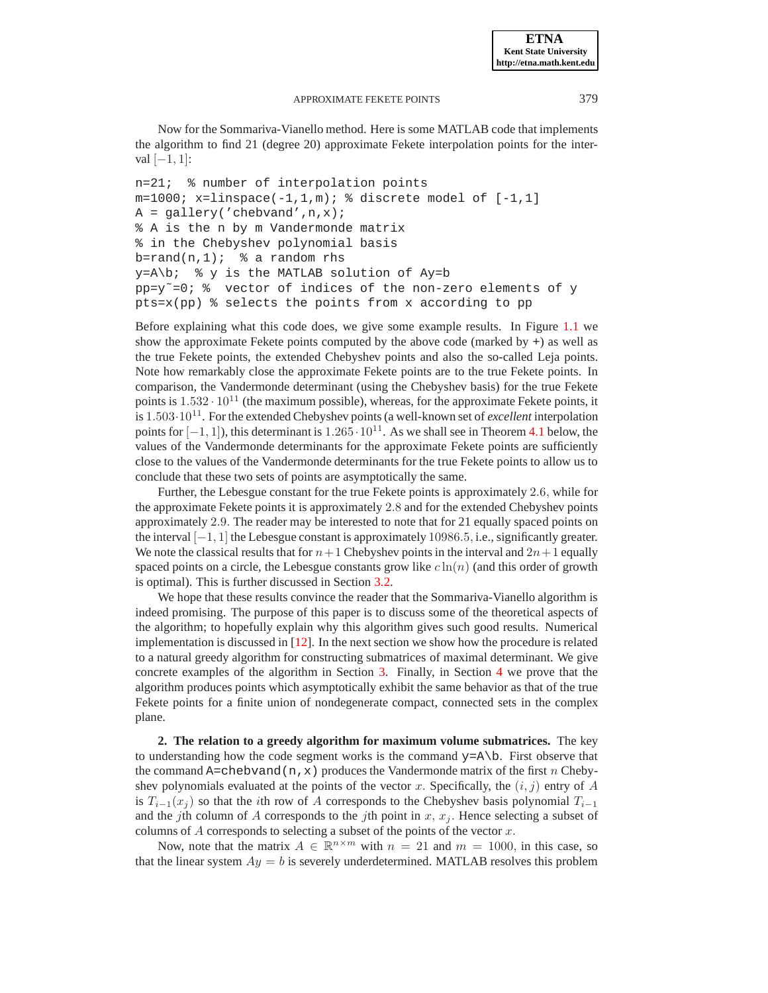Now for the Sommariva-Vianello method. Here is some MATLAB code that implements the algorithm to find 21 (degree 20) approximate Fekete interpolation points for the interval  $[-1, 1]$ :

```
n=21; % number of interpolation points
m=1000; x=1inspace(-1,1,m); \text{\&} discrete model of [-1,1]A = gallery('chebvand',n,x);
% A is the n by m Vandermonde matrix
% in the Chebyshev polynomial basis
b=rand(n,1); % a random rhs
y = A \bigr) % y is the MATLAB solution of Ay=b
pp=y=0; % vector of indices of the non-zero elements of ypts=x(pp) % selects the points from x according to pp
```
Before explaining what this code does, we give some example results. In Figure [1.1](#page-3-0) we show the approximate Fekete points computed by the above code (marked by  $+$ ) as well as the true Fekete points, the extended Chebyshev points and also the so-called Leja points. Note how remarkably close the approximate Fekete points are to the true Fekete points. In comparison, the Vandermonde determinant (using the Chebyshev basis) for the true Fekete points is  $1.532 \cdot 10^{11}$  (the maximum possible), whereas, for the approximate Fekete points, it is <sup>1</sup>.503·10<sup>11</sup>. For the extended Chebyshev points (a well-known set of *excellent* interpolation points for  $[-1, 1]$ ), this determinant is  $1.265 \cdot 10^{11}$ . As we shall see in Theorem [4.1](#page-18-0) below, the values of the Vandermonde determinants for the approximate Fekete points are sufficiently close to the values of the Vandermonde determinants for the true Fekete points to allow us to conclude that these two sets of points are asymptotically the same.

Further, the Lebesgue constant for the true Fekete points is approximately 2.6, while for the approximate Fekete points it is approximately 2.8 and for the extended Chebyshev points approximately 2.9. The reader may be interested to note that for 21 equally spaced points on the interval [−1, 1] the Lebesgue constant is approximately 10986.5, i.e., significantly greater. We note the classical results that for  $n+1$  Chebyshev points in the interval and  $2n+1$  equally spaced points on a circle, the Lebesgue constants grow like  $c \ln(n)$  (and this order of growth is optimal). This is further discussed in Section [3.2.](#page-6-0)

We hope that these results convince the reader that the Sommariva-Vianello algorithm is indeed promising. The purpose of this paper is to discuss some of the theoretical aspects of the algorithm; to hopefully explain why this algorithm gives such good results. Numerical implementation is discussed in  $[12]$ . In the next section we show how the procedure is related to a natural greedy algorithm for constructing submatrices of maximal determinant. We give concrete examples of the algorithm in Section [3.](#page-4-0) Finally, in Section [4](#page-17-0) we prove that the algorithm produces points which asymptotically exhibit the same behavior as that of the true Fekete points for a finite union of nondegenerate compact, connected sets in the complex plane.

**2. The relation to a greedy algorithm for maximum volume submatrices.** The key to understanding how the code segment works is the command  $y = A \ b$ . First observe that the command A=chebvand(n, x) produces the Vandermonde matrix of the first n Chebyshev polynomials evaluated at the points of the vector x. Specifically, the  $(i, j)$  entry of A is  $T_{i-1}(x_i)$  so that the *i*th row of A corresponds to the Chebyshev basis polynomial  $T_{i-1}$ and the jth column of A corresponds to the jth point in  $x, x<sub>j</sub>$ . Hence selecting a subset of columns of  $A$  corresponds to selecting a subset of the points of the vector  $x$ .

Now, note that the matrix  $A \in \mathbb{R}^{n \times m}$  with  $n = 21$  and  $m = 1000$ , in this case, so that the linear system  $Ay = b$  is severely underdetermined. MATLAB resolves this problem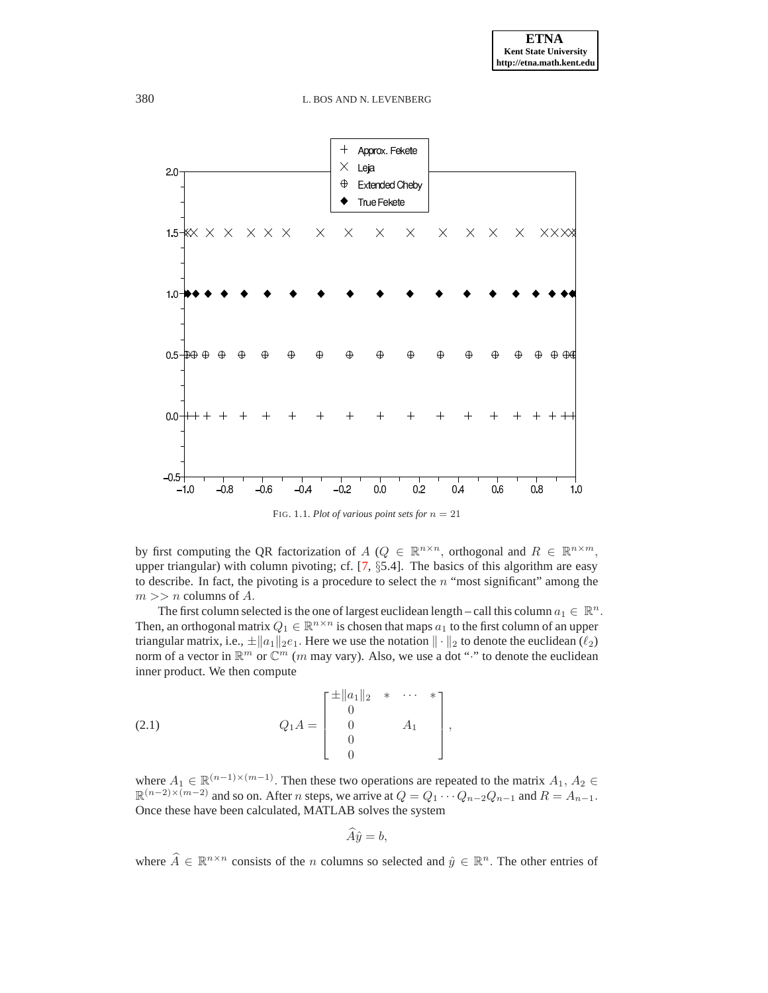

<span id="page-3-0"></span>FIG. 1.1. *Plot of various point sets for*  $n = 21$ 

by first computing the QR factorization of  $A$  ( $Q \in \mathbb{R}^{n \times n}$ , orthogonal and  $R \in \mathbb{R}^{n \times m}$ , upper triangular) with column pivoting; cf. [\[7,](#page-20-5) §5.4]. The basics of this algorithm are easy to describe. In fact, the pivoting is a procedure to select the  $n$  "most significant" among the  $m >> n$  columns of A.

The first column selected is the one of largest euclidean length – call this column  $a_1 \in \mathbb{R}^n$ . Then, an orthogonal matrix  $Q_1 \in \mathbb{R}^{n \times n}$  is chosen that maps  $a_1$  to the first column of an upper triangular matrix, i.e.,  $\pm ||a_1||_2e_1$ . Here we use the notation  $|| \cdot ||_2$  to denote the euclidean  $(\ell_2)$ norm of a vector in  $\mathbb{R}^m$  or  $\mathbb{C}^m$  (*m* may vary). Also, we use a dot "<sup>\*</sup>" to denote the euclidean inner product. We then compute

<span id="page-3-1"></span>(2.1) 
$$
Q_1 A = \begin{bmatrix} \pm \|a_1\|_2 & * & \cdots & * \\ 0 & & A_1 \\ 0 & & & \\ 0 & & & \end{bmatrix},
$$

where  $A_1 \in \mathbb{R}^{(n-1)\times(m-1)}$ . Then these two operations are repeated to the matrix  $A_1, A_2 \in \mathbb{R}^{(n-1)\times(m-1)}$ .  $\mathbb{R}^{(n-2)\times(m-2)}$  and so on. After *n* steps, we arrive at  $Q = Q_1 \cdots Q_{n-2} Q_{n-1}$  and  $R = A_{n-1}$ . Once these have been calculated, MATLAB solves the system

$$
\widehat{A}\widehat{y}=b,
$$

where  $\hat{A} \in \mathbb{R}^{n \times n}$  consists of the *n* columns so selected and  $\hat{y} \in \mathbb{R}^n$ . The other entries of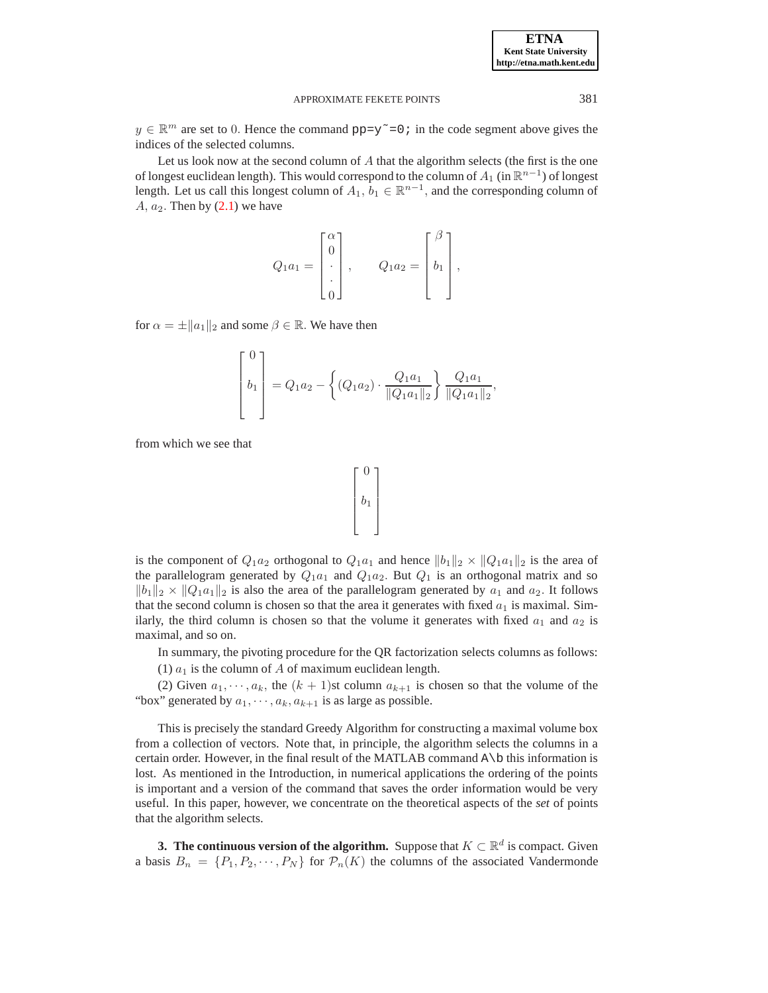$y \in \mathbb{R}^m$  are set to 0. Hence the command  $pp=y^{\sim}=0$ ; in the code segment above gives the indices of the selected columns.

Let us look now at the second column of  $A$  that the algorithm selects (the first is the one of longest euclidean length). This would correspond to the column of  $A_1$  (in  $\mathbb{R}^{n-1}$ ) of longest length. Let us call this longest column of  $A_1$ ,  $b_1 \in \mathbb{R}^{n-1}$ , and the corresponding column of  $A, a_2$ . Then by  $(2.1)$  we have

$$
Q_1 a_1 = \begin{bmatrix} \alpha \\ 0 \\ \cdot \\ \cdot \\ 0 \end{bmatrix}, \qquad Q_1 a_2 = \begin{bmatrix} \beta \\ b_1 \\ \cdot \\ \cdot \end{bmatrix},
$$

for  $\alpha = \pm ||a_1||_2$  and some  $\beta \in \mathbb{R}$ . We have then

$$
\begin{bmatrix} 0 \\ b_1 \\ c_2 \end{bmatrix} = Q_1 a_2 - \left\{ (Q_1 a_2) \cdot \frac{Q_1 a_1}{\|Q_1 a_1\|_2} \right\} \frac{Q_1 a_1}{\|Q_1 a_1\|_2},
$$

from which we see that



is the component of  $Q_1a_2$  orthogonal to  $Q_1a_1$  and hence  $||b_1||_2 \times ||Q_1a_1||_2$  is the area of the parallelogram generated by  $Q_1a_1$  and  $Q_1a_2$ . But  $Q_1$  is an orthogonal matrix and so  $||b_1||_2 \times ||Q_1a_1||_2$  is also the area of the parallelogram generated by  $a_1$  and  $a_2$ . It follows that the second column is chosen so that the area it generates with fixed  $a_1$  is maximal. Similarly, the third column is chosen so that the volume it generates with fixed  $a_1$  and  $a_2$  is maximal, and so on.

In summary, the pivoting procedure for the QR factorization selects columns as follows:

(1)  $a_1$  is the column of A of maximum euclidean length.

(2) Given  $a_1, \dots, a_k$ , the  $(k + 1)$ st column  $a_{k+1}$  is chosen so that the volume of the "box" generated by  $a_1, \dots, a_k, a_{k+1}$  is as large as possible.

This is precisely the standard Greedy Algorithm for constructing a maximal volume box from a collection of vectors. Note that, in principle, the algorithm selects the columns in a certain order. However, in the final result of the MATLAB command A\b this information is lost. As mentioned in the Introduction, in numerical applications the ordering of the points is important and a version of the command that saves the order information would be very useful. In this paper, however, we concentrate on the theoretical aspects of the *set* of points that the algorithm selects.

<span id="page-4-0"></span>**3. The continuous version of the algorithm.** Suppose that  $K \subset \mathbb{R}^d$  is compact. Given a basis  $B_n = \{P_1, P_2, \cdots, P_N\}$  for  $\mathcal{P}_n(K)$  the columns of the associated Vandermonde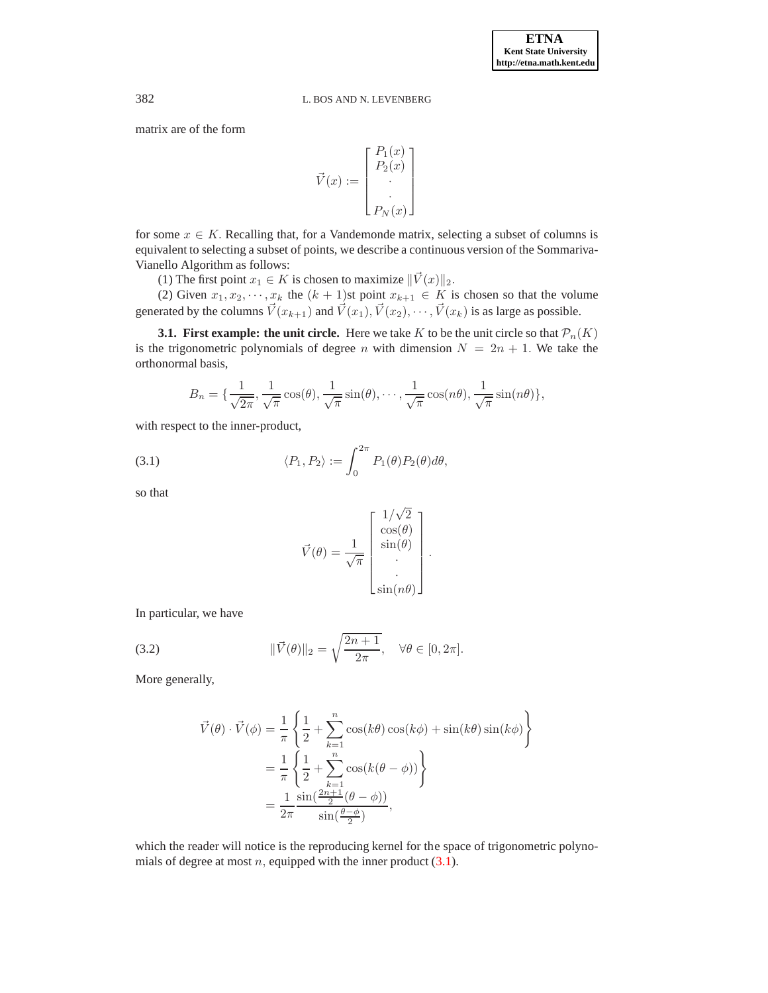matrix are of the form

$$
\vec{V}(x) := \begin{bmatrix} P_1(x) \\ P_2(x) \\ \vdots \\ P_N(x) \end{bmatrix}
$$

for some  $x \in K$ . Recalling that, for a Vandemonde matrix, selecting a subset of columns is equivalent to selecting a subset of points, we describe a continuous version of the Sommariva-Vianello Algorithm as follows:

(1) The first point  $x_1 \in K$  is chosen to maximize  $\|\vec{V}(x)\|_2$ .

(2) Given  $x_1, x_2, \dots, x_k$  the  $(k + 1)$ st point  $x_{k+1} \in K$  is chosen so that the volume generated by the columns  $\vec{V}(x_{k+1})$  and  $\vec{V}(x_1), \vec{V}(x_2), \cdots, \vec{V}(x_k)$  is as large as possible.

**3.1. First example: the unit circle.** Here we take K to be the unit circle so that  $\mathcal{P}_n(K)$ is the trigonometric polynomials of degree n with dimension  $N = 2n + 1$ . We take the orthonormal basis,

$$
B_n = \{\frac{1}{\sqrt{2\pi}}, \frac{1}{\sqrt{\pi}}\cos(\theta), \frac{1}{\sqrt{\pi}}\sin(\theta), \cdots, \frac{1}{\sqrt{\pi}}\cos(n\theta), \frac{1}{\sqrt{\pi}}\sin(n\theta)\},\
$$

with respect to the inner-product,

<span id="page-5-0"></span>(3.1) 
$$
\langle P_1, P_2 \rangle := \int_0^{2\pi} P_1(\theta) P_2(\theta) d\theta,
$$

so that

$$
\vec{V}(\theta) = \frac{1}{\sqrt{\pi}} \begin{bmatrix} 1/\sqrt{2} \\ \cos(\theta) \\ \sin(\theta) \\ \vdots \\ \sin(n\theta) \end{bmatrix}.
$$

In particular, we have

<span id="page-5-1"></span>(3.2) 
$$
\|\vec{V}(\theta)\|_2 = \sqrt{\frac{2n+1}{2\pi}}, \quad \forall \theta \in [0, 2\pi].
$$

More generally,

$$
\vec{V}(\theta) \cdot \vec{V}(\phi) = \frac{1}{\pi} \left\{ \frac{1}{2} + \sum_{k=1}^{n} \cos(k\theta) \cos(k\phi) + \sin(k\theta) \sin(k\phi) \right\}
$$

$$
= \frac{1}{\pi} \left\{ \frac{1}{2} + \sum_{k=1}^{n} \cos(k(\theta - \phi)) \right\}
$$

$$
= \frac{1}{2\pi} \frac{\sin(\frac{2n+1}{2}(\theta - \phi))}{\sin(\frac{\theta - \phi}{2})},
$$

which the reader will notice is the reproducing kernel for the space of trigonometric polynomials of degree at most  $n$ , equipped with the inner product  $(3.1)$ .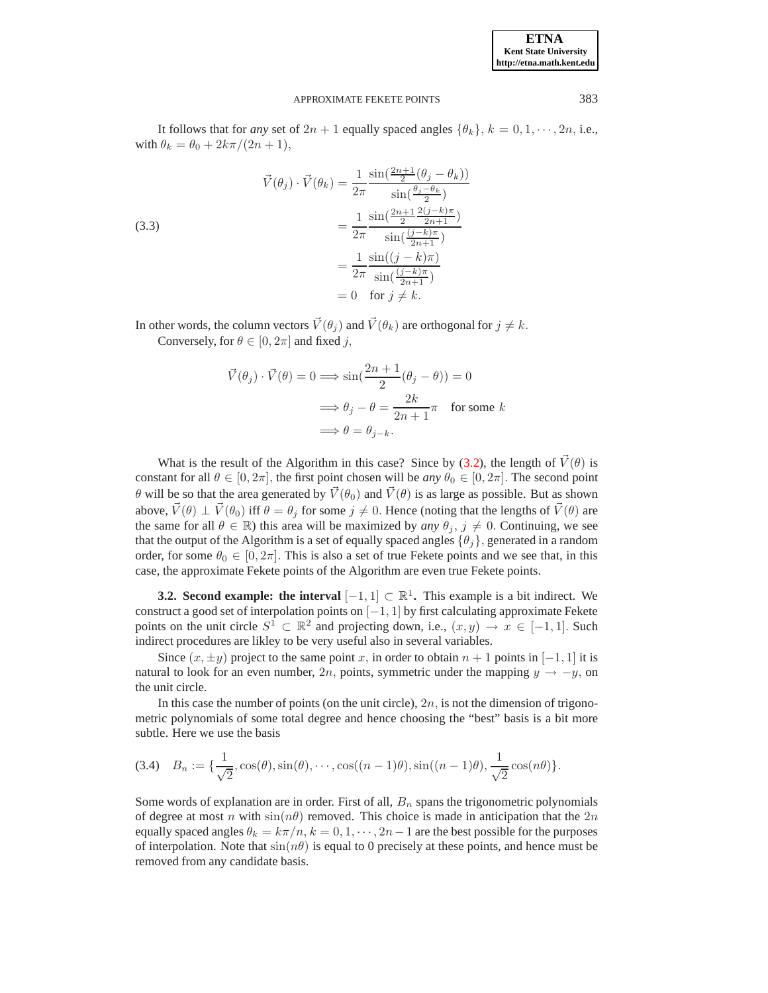| <b>ETNA</b>                  |
|------------------------------|
| <b>Kent State University</b> |
| http://etna.math.kent.edu    |

It follows that for *any* set of  $2n + 1$  equally spaced angles  $\{\theta_k\}, k = 0, 1, \dots, 2n$ , i.e., with  $\theta_k = \theta_0 + 2k\pi/(2n+1)$ ,

(3.3)  

$$
\vec{V}(\theta_j) \cdot \vec{V}(\theta_k) = \frac{1}{2\pi} \frac{\sin(\frac{2n+1}{2}(\theta_j - \theta_k))}{\sin(\frac{\theta_j - \theta_k}{2})}
$$

$$
= \frac{1}{2\pi} \frac{\sin(\frac{2n+1}{2}\frac{2(j-k)\pi}{2n+1})}{\sin(\frac{(j-k)\pi}{2n+1})}
$$

$$
= \frac{1}{2\pi} \frac{\sin((j-k)\pi)}{\sin(\frac{(j-k)\pi}{2n+1})}
$$

$$
= 0 \text{ for } j \neq k.
$$

In other words, the column vectors  $\vec{V}(\theta_i)$  and  $\vec{V}(\theta_k)$  are orthogonal for  $j \neq k$ . Conversely, for  $\theta \in [0, 2\pi]$  and fixed j,

$$
\vec{V}(\theta_j) \cdot \vec{V}(\theta) = 0 \Longrightarrow \sin(\frac{2n+1}{2}(\theta_j - \theta)) = 0
$$

$$
\Longrightarrow \theta_j - \theta = \frac{2k}{2n+1}\pi \quad \text{for some } k
$$

$$
\Longrightarrow \theta = \theta_{j-k}.
$$

What is the result of the Algorithm in this case? Since by [\(3.2\)](#page-5-1), the length of  $\vec{V}(\theta)$  is constant for all  $\theta \in [0, 2\pi]$ , the first point chosen will be *any*  $\theta_0 \in [0, 2\pi]$ . The second point θ will be so that the area generated by  $\vec{V}(\theta_0)$  and  $\vec{V}(\theta)$  is as large as possible. But as shown above,  $\vec{V}(\theta) \perp \vec{V}(\theta_0)$  iff  $\theta = \theta_j$  for some  $j \neq 0$ . Hence (noting that the lengths of  $\vec{V}(\theta)$  are the same for all  $\theta \in \mathbb{R}$ ) this area will be maximized by *any*  $\theta_i$ ,  $j \neq 0$ . Continuing, we see that the output of the Algorithm is a set of equally spaced angles  $\{\theta_i\}$ , generated in a random order, for some  $\theta_0 \in [0, 2\pi]$ . This is also a set of true Fekete points and we see that, in this case, the approximate Fekete points of the Algorithm are even true Fekete points.

<span id="page-6-0"></span>**3.2. Second example: the interval**  $[-1, 1] \subset \mathbb{R}^1$ . This example is a bit indirect. We construct a good set of interpolation points on  $[-1, 1]$  by first calculating approximate Fekete points on the unit circle  $S^1 \subset \mathbb{R}^2$  and projecting down, i.e.,  $(x, y) \to x \in [-1, 1]$ . Such indirect procedures are likley to be very useful also in several variables.

Since  $(x, \pm y)$  project to the same point x, in order to obtain  $n + 1$  points in  $[-1, 1]$  it is natural to look for an even number, 2n, points, symmetric under the mapping  $y \rightarrow -y$ , on the unit circle.

In this case the number of points (on the unit circle),  $2n$ , is not the dimension of trigonometric polynomials of some total degree and hence choosing the "best" basis is a bit more subtle. Here we use the basis

$$
(3.4) \quad B_n := \{\frac{1}{\sqrt{2}}, \cos(\theta), \sin(\theta), \cdots, \cos((n-1)\theta), \sin((n-1)\theta), \frac{1}{\sqrt{2}}\cos(n\theta)\}.
$$

Some words of explanation are in order. First of all,  $B_n$  spans the trigonometric polynomials of degree at most n with  $sin(n\theta)$  removed. This choice is made in anticipation that the  $2n$ equally spaced angles  $\theta_k = k\pi/n$ ,  $k = 0, 1, \dots, 2n-1$  are the best possible for the purposes of interpolation. Note that  $sin(n\theta)$  is equal to 0 precisely at these points, and hence must be removed from any candidate basis.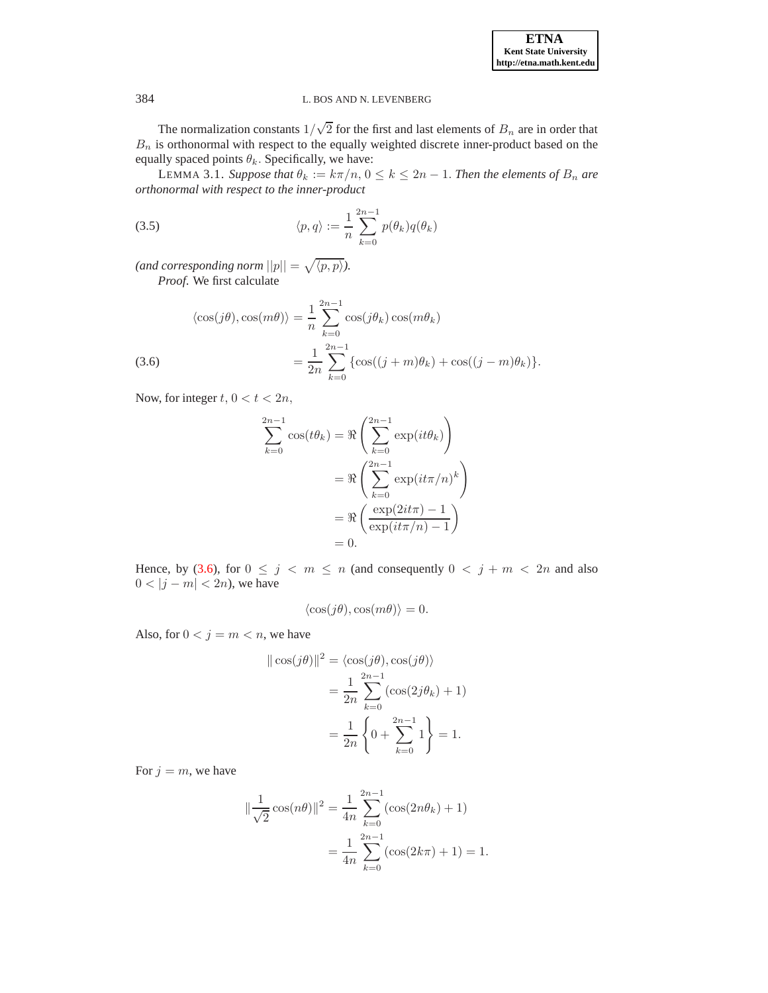The normalization constants  $1/\sqrt{2}$  for the first and last elements of  $B_n$  are in order that  $B_n$  is orthonormal with respect to the equally weighted discrete inner-product based on the equally spaced points  $\theta_k$ . Specifically, we have:

<span id="page-7-1"></span>LEMMA 3.1. *Suppose that*  $\theta_k := k\pi/n$ ,  $0 \le k \le 2n - 1$ *. Then the elements of*  $B_n$  *are orthonormal with respect to the inner-product*

<span id="page-7-2"></span>(3.5) 
$$
\langle p, q \rangle := \frac{1}{n} \sum_{k=0}^{2n-1} p(\theta_k) q(\theta_k)
$$

(and corresponding norm  $||p|| = \sqrt{\langle p, p \rangle}$ ). *Proof*. We first calculate

<span id="page-7-0"></span>(3.6) 
$$
\langle \cos(j\theta), \cos(m\theta) \rangle = \frac{1}{n} \sum_{k=0}^{2n-1} \cos(j\theta_k) \cos(m\theta_k)
$$

$$
= \frac{1}{2n} \sum_{k=0}^{2n-1} \{ \cos((j+m)\theta_k) + \cos((j-m)\theta_k) \}.
$$

Now, for integer  $t, 0 < t < 2n$ ,

$$
\sum_{k=0}^{2n-1} \cos(t\theta_k) = \Re \left( \sum_{k=0}^{2n-1} \exp(it\theta_k) \right)
$$

$$
= \Re \left( \sum_{k=0}^{2n-1} \exp(it\pi/n)^k \right)
$$

$$
= \Re \left( \frac{\exp(2it\pi) - 1}{\exp(it\pi/n) - 1} \right)
$$

$$
= 0.
$$

Hence, by [\(3.6\)](#page-7-0), for  $0 \le j < m \le n$  (and consequently  $0 \le j + m < 2n$  and also  $0 < |j - m| < 2n$ , we have

$$
\langle \cos(j\theta), \cos(m\theta) \rangle = 0.
$$

Also, for  $0 < j = m < n$ , we have

$$
\|\cos(j\theta)\|^2 = \langle \cos(j\theta), \cos(j\theta) \rangle
$$
  
= 
$$
\frac{1}{2n} \sum_{k=0}^{2n-1} (\cos(2j\theta_k) + 1)
$$
  
= 
$$
\frac{1}{2n} \left\{ 0 + \sum_{k=0}^{2n-1} 1 \right\} = 1.
$$

For  $j = m$ , we have

$$
\|\frac{1}{\sqrt{2}}\cos(n\theta)\|^2 = \frac{1}{4n} \sum_{k=0}^{2n-1} (\cos(2n\theta_k) + 1)
$$

$$
= \frac{1}{4n} \sum_{k=0}^{2n-1} (\cos(2k\pi) + 1) = 1.
$$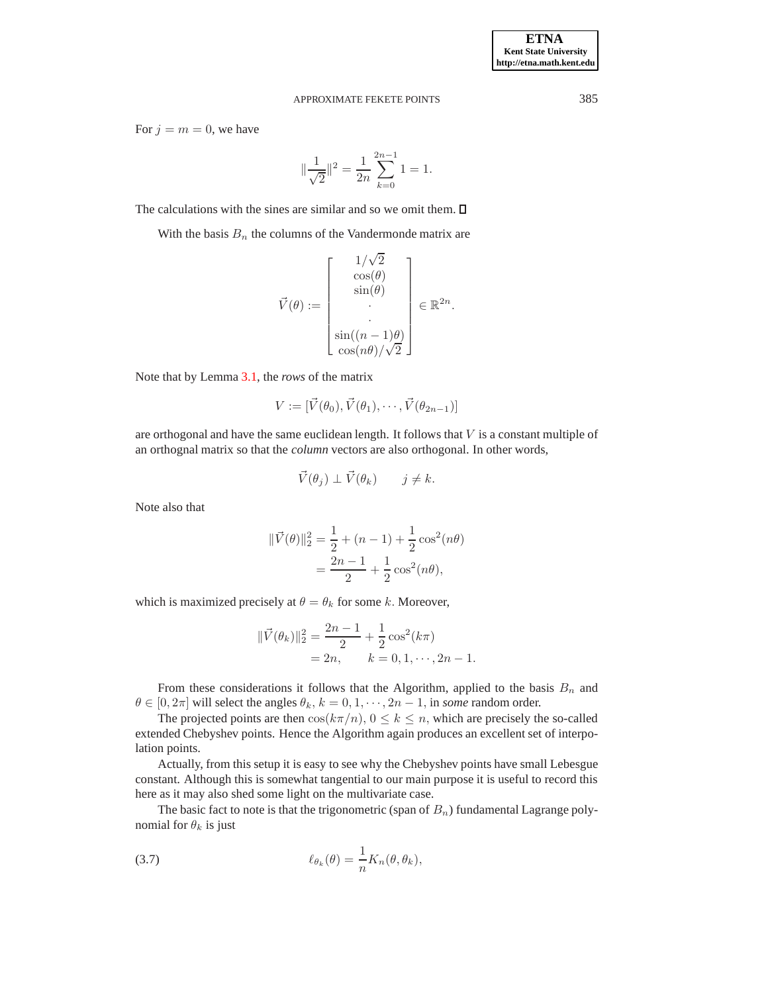For  $j = m = 0$ , we have

$$
\|\frac{1}{\sqrt{2}}\|^2 = \frac{1}{2n} \sum_{k=0}^{2n-1} 1 = 1.
$$

The calculations with the sines are similar and so we omit them.  $\Box$ 

With the basis  $B_n$  the columns of the Vandermonde matrix are

$$
\vec{V}(\theta) := \begin{bmatrix} 1/\sqrt{2} \\ \cos(\theta) \\ \sin(\theta) \\ \vdots \\ \sin((n-1)\theta) \\ \cos(n\theta)/\sqrt{2} \end{bmatrix} \in \mathbb{R}^{2n}.
$$

Note that by Lemma [3.1,](#page-7-1) the *rows* of the matrix

$$
V := [\vec{V}(\theta_0), \vec{V}(\theta_1), \cdots, \vec{V}(\theta_{2n-1})]
$$

are orthogonal and have the same euclidean length. It follows that  $V$  is a constant multiple of an orthognal matrix so that the *column* vectors are also orthogonal. In other words,

$$
\vec{V}(\theta_j) \perp \vec{V}(\theta_k) \qquad j \neq k.
$$

Note also that

$$
\begin{aligned} \|\vec{V}(\theta)\|_2^2 &= \frac{1}{2} + (n-1) + \frac{1}{2}\cos^2(n\theta) \\ &= \frac{2n-1}{2} + \frac{1}{2}\cos^2(n\theta), \end{aligned}
$$

which is maximized precisely at  $\theta = \theta_k$  for some k. Moreover,

$$
\begin{aligned} \|\vec{V}(\theta_k)\|_2^2 &= \frac{2n-1}{2} + \frac{1}{2}\cos^2(k\pi) \\ &= 2n, \qquad k = 0, 1, \cdots, 2n-1. \end{aligned}
$$

From these considerations it follows that the Algorithm, applied to the basis  $B_n$  and  $\theta \in [0, 2\pi]$  will select the angles  $\theta_k$ ,  $k = 0, 1, \dots, 2n - 1$ , in *some* random order.

The projected points are then  $\cos(k\pi/n)$ ,  $0 \le k \le n$ , which are precisely the so-called extended Chebyshev points. Hence the Algorithm again produces an excellent set of interpolation points.

Actually, from this setup it is easy to see why the Chebyshev points have small Lebesgue constant. Although this is somewhat tangential to our main purpose it is useful to record this here as it may also shed some light on the multivariate case.

The basic fact to note is that the trigonometric (span of  $B_n$ ) fundamental Lagrange polynomial for  $\theta_k$  is just

<span id="page-8-0"></span>(3.7) 
$$
\ell_{\theta_k}(\theta) = \frac{1}{n} K_n(\theta, \theta_k),
$$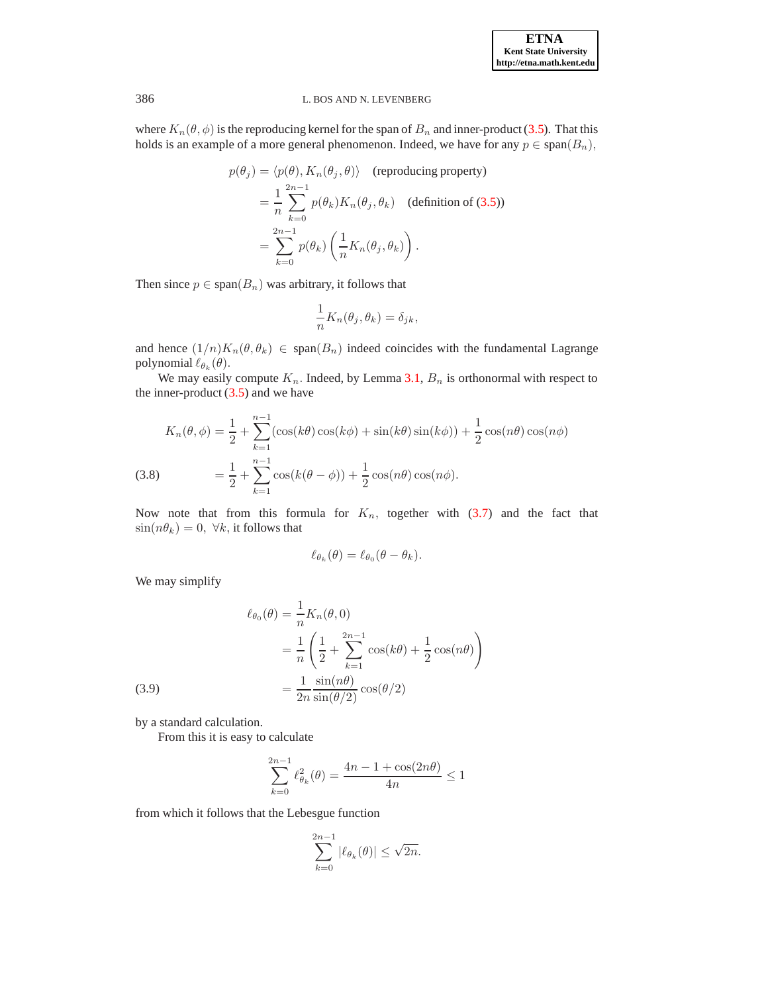where  $K_n(\theta, \phi)$  is the reproducing kernel for the span of  $B_n$  and inner-product [\(3.5\)](#page-7-2). That this holds is an example of a more general phenomenon. Indeed, we have for any  $p \in \text{span}(B_n)$ ,

$$
p(\theta_j) = \langle p(\theta), K_n(\theta_j, \theta) \rangle \quad \text{(reproducing property)}
$$
  
= 
$$
\frac{1}{n} \sum_{k=0}^{2n-1} p(\theta_k) K_n(\theta_j, \theta_k) \quad \text{(definition of (3.5))}
$$
  
= 
$$
\sum_{k=0}^{2n-1} p(\theta_k) \left( \frac{1}{n} K_n(\theta_j, \theta_k) \right).
$$

Then since  $p \in \text{span}(B_n)$  was arbitrary, it follows that

$$
\frac{1}{n}K_n(\theta_j, \theta_k) = \delta_{jk},
$$

and hence  $(1/n)K_n(\theta, \theta_k) \in \text{span}(B_n)$  indeed coincides with the fundamental Lagrange polynomial  $\ell_{\theta_k}(\theta)$ .

We may easily compute  $K_n$ . Indeed, by Lemma [3.1,](#page-7-1)  $B_n$  is orthonormal with respect to the inner-product  $(3.5)$  and we have

$$
K_n(\theta, \phi) = \frac{1}{2} + \sum_{k=1}^{n-1} (\cos(k\theta)\cos(k\phi) + \sin(k\theta)\sin(k\phi)) + \frac{1}{2}\cos(n\theta)\cos(n\phi)
$$
  
(3.8) 
$$
= \frac{1}{2} + \sum_{k=1}^{n-1} \cos(k(\theta - \phi)) + \frac{1}{2}\cos(n\theta)\cos(n\phi).
$$

Now note that from this formula for  $K_n$ , together with [\(3.7\)](#page-8-0) and the fact that  $\sin(n\theta_k) = 0$ ,  $\forall k$ , it follows that

$$
\ell_{\theta_k}(\theta) = \ell_{\theta_0}(\theta - \theta_k).
$$

We may simplify

(3.9)  
\n
$$
\ell_{\theta_0}(\theta) = \frac{1}{n} K_n(\theta, 0)
$$
\n
$$
= \frac{1}{n} \left( \frac{1}{2} + \sum_{k=1}^{2n-1} \cos(k\theta) + \frac{1}{2} \cos(n\theta) \right)
$$
\n
$$
= \frac{1}{2n} \frac{\sin(n\theta)}{\sin(\theta/2)} \cos(\theta/2)
$$

by a standard calculation.

From this it is easy to calculate

$$
\sum_{k=0}^{2n-1} \ell_{\theta_k}^2(\theta) = \frac{4n - 1 + \cos(2n\theta)}{4n} \le 1
$$

from which it follows that the Lebesgue function

$$
\sum_{k=0}^{2n-1} |\ell_{\theta_k}(\theta)| \le \sqrt{2n}.
$$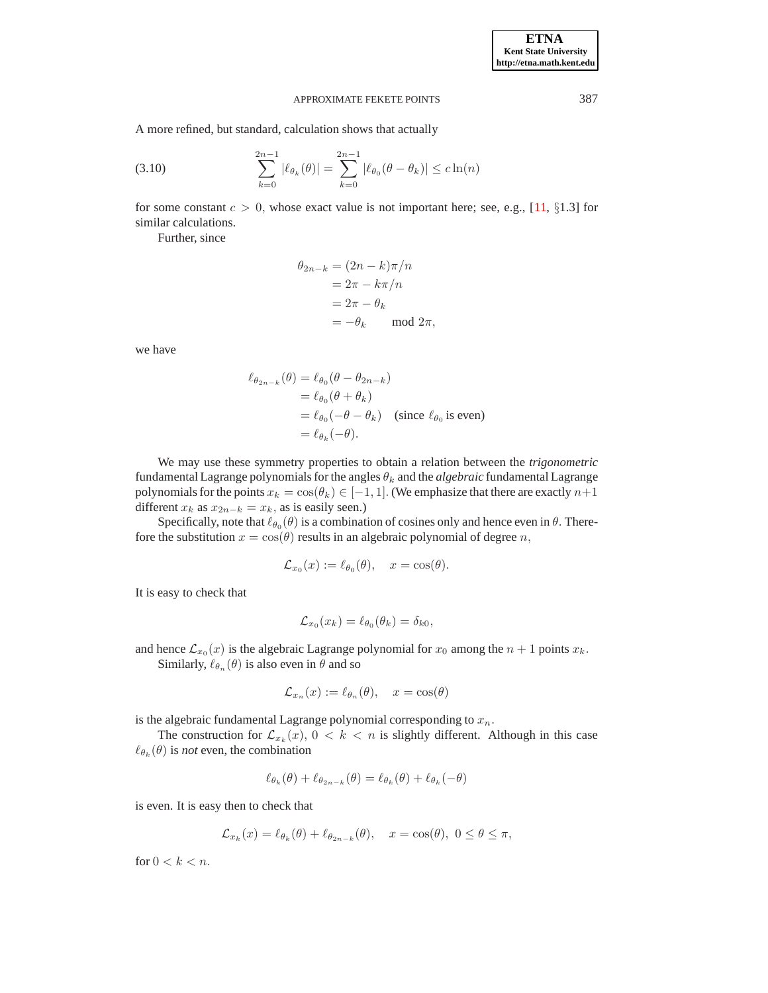A more refined, but standard, calculation shows that actually

<span id="page-10-0"></span>(3.10) 
$$
\sum_{k=0}^{2n-1} |\ell_{\theta_k}(\theta)| = \sum_{k=0}^{2n-1} |\ell_{\theta_0}(\theta - \theta_k)| \leq c \ln(n)
$$

for some constant  $c > 0$ , whose exact value is not important here; see, e.g., [\[11,](#page-20-6) §1.3] for similar calculations.

Further, since

$$
\theta_{2n-k} = (2n - k)\pi/n
$$
  
=  $2\pi - k\pi/n$   
=  $2\pi - \theta_k$   
=  $-\theta_k$  mod  $2\pi$ ,

we have

$$
\ell_{\theta_{2n-k}}(\theta) = \ell_{\theta_0}(\theta - \theta_{2n-k})
$$
  
=  $\ell_{\theta_0}(\theta + \theta_k)$   
=  $\ell_{\theta_0}(-\theta - \theta_k)$  (since  $\ell_{\theta_0}$  is even)  
=  $\ell_{\theta_k}(-\theta)$ .

We may use these symmetry properties to obtain a relation between the *trigonometric* fundamental Lagrange polynomials for the angles  $\theta_k$  and the *algebraic* fundamental Lagrange polynomials for the points  $x_k = \cos(\theta_k) \in [-1, 1]$ . (We emphasize that there are exactly  $n+1$ different  $x_k$  as  $x_{2n-k} = x_k$ , as is easily seen.)

Specifically, note that  $\ell_{\theta_0}(\theta)$  is a combination of cosines only and hence even in  $\theta$ . Therefore the substitution  $x = cos(\theta)$  results in an algebraic polynomial of degree n,

$$
\mathcal{L}_{x_0}(x) := \ell_{\theta_0}(\theta), \quad x = \cos(\theta).
$$

It is easy to check that

$$
\mathcal{L}_{x_0}(x_k) = \ell_{\theta_0}(\theta_k) = \delta_{k0},
$$

and hence  $\mathcal{L}_{x_0}(x)$  is the algebraic Lagrange polynomial for  $x_0$  among the  $n + 1$  points  $x_k$ . Similarly,  $\ell_{\theta_n}(\theta)$  is also even in  $\theta$  and so

$$
\mathcal{L}_{x_n}(x) := \ell_{\theta_n}(\theta), \quad x = \cos(\theta)
$$

is the algebraic fundamental Lagrange polynomial corresponding to  $x_n$ .

The construction for  $\mathcal{L}_{x_k}(x)$ ,  $0 < k < n$  is slightly different. Although in this case  $\ell_{\theta_k}(\theta)$  is *not* even, the combination

$$
\ell_{\theta_k}(\theta) + \ell_{\theta_{2n-k}}(\theta) = \ell_{\theta_k}(\theta) + \ell_{\theta_k}(-\theta)
$$

is even. It is easy then to check that

$$
\mathcal{L}_{x_k}(x) = \ell_{\theta_k}(\theta) + \ell_{\theta_{2n-k}}(\theta), \quad x = \cos(\theta), \ 0 \le \theta \le \pi,
$$

for  $0 < k < n$ .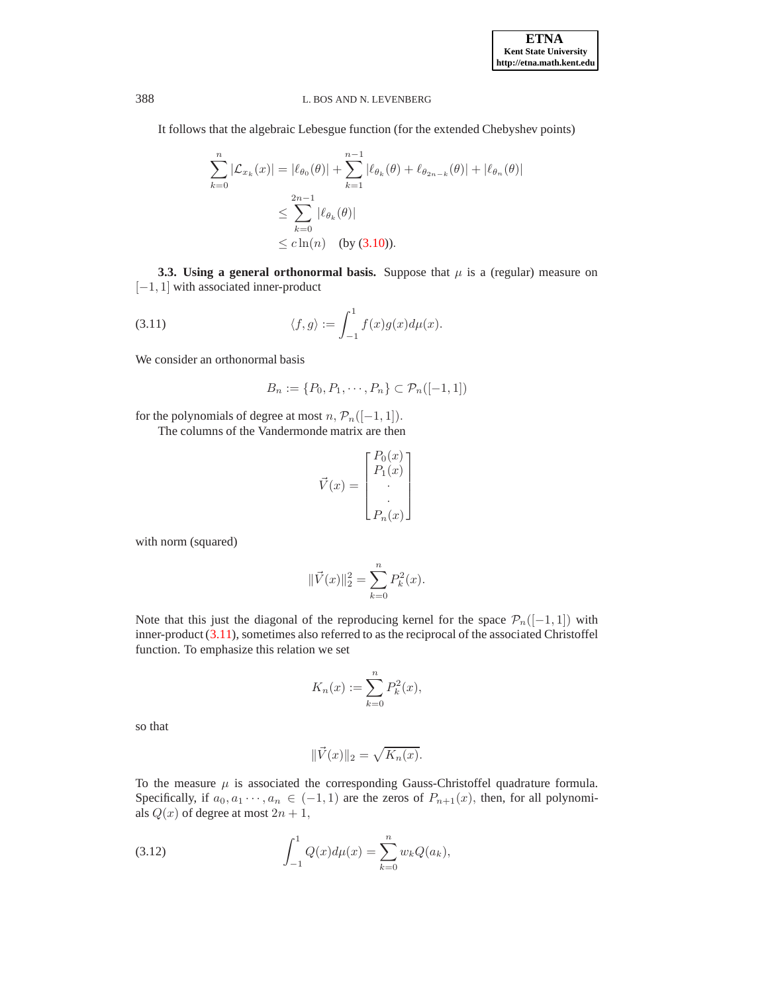It follows that the algebraic Lebesgue function (for the extended Chebyshev points)

$$
\sum_{k=0}^{n} |\mathcal{L}_{x_k}(x)| = |\ell_{\theta_0}(\theta)| + \sum_{k=1}^{n-1} |\ell_{\theta_k}(\theta) + \ell_{\theta_{2n-k}}(\theta)| + |\ell_{\theta_n}(\theta)|
$$
  

$$
\leq \sum_{k=0}^{2n-1} |\ell_{\theta_k}(\theta)|
$$
  

$$
\leq c \ln(n) \text{ (by (3.10)).}
$$

**3.3. Using a general orthonormal basis.** Suppose that  $\mu$  is a (regular) measure on  $[-1, 1]$  with associated inner-product

<span id="page-11-0"></span>(3.11) 
$$
\langle f, g \rangle := \int_{-1}^{1} f(x)g(x)d\mu(x).
$$

We consider an orthonormal basis

$$
B_n := \{P_0, P_1, \cdots, P_n\} \subset \mathcal{P}_n([-1, 1])
$$

for the polynomials of degree at most  $n, \mathcal{P}_n([-1, 1]).$ 

The columns of the Vandermonde matrix are then

$$
\vec{V}(x) = \begin{bmatrix} P_0(x) \\ P_1(x) \\ \vdots \\ P_n(x) \end{bmatrix}
$$

with norm (squared)

$$
\|\vec{V}(x)\|_2^2 = \sum_{k=0}^n P_k^2(x).
$$

Note that this just the diagonal of the reproducing kernel for the space  $\mathcal{P}_n([-1, 1])$  with inner-product [\(3.11\)](#page-11-0), sometimes also referred to as the reciprocal of the associated Christoffel function. To emphasize this relation we set

$$
K_n(x) := \sum_{k=0}^n P_k^2(x),
$$

so that

$$
\|\vec{V}(x)\|_2 = \sqrt{K_n(x)}.
$$

To the measure  $\mu$  is associated the corresponding Gauss-Christoffel quadrature formula. Specifically, if  $a_0, a_1 \cdots, a_n \in (-1, 1)$  are the zeros of  $P_{n+1}(x)$ , then, for all polynomials  $Q(x)$  of degree at most  $2n + 1$ ,

<span id="page-11-1"></span>(3.12) 
$$
\int_{-1}^{1} Q(x) d\mu(x) = \sum_{k=0}^{n} w_k Q(a_k),
$$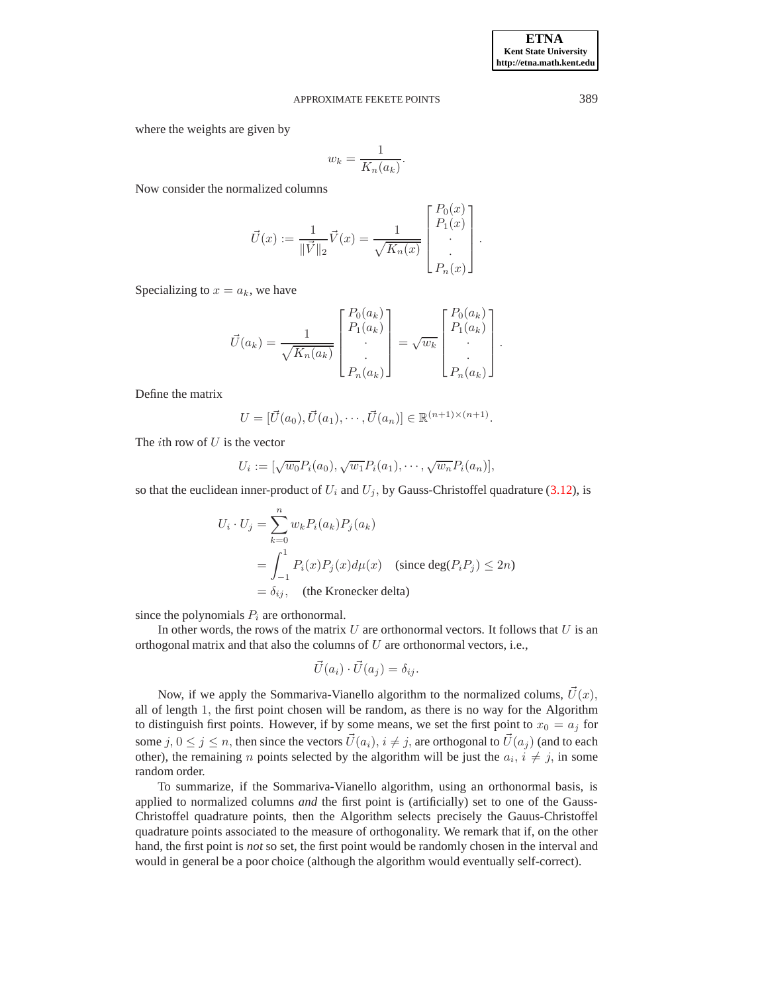where the weights are given by

$$
w_k = \frac{1}{K_n(a_k)}.
$$

Now consider the normalized columns

$$
\vec{U}(x) := \frac{1}{\|\vec{V}\|_2} \vec{V}(x) = \frac{1}{\sqrt{K_n(x)}} \begin{bmatrix} P_0(x) \\ P_1(x) \\ \vdots \\ P_n(x) \end{bmatrix}.
$$

Specializing to  $x = a_k$ , we have

$$
\vec{U}(a_k) = \frac{1}{\sqrt{K_n(a_k)}} \begin{bmatrix} P_0(a_k) \\ P_1(a_k) \\ \vdots \\ P_n(a_k) \end{bmatrix} = \sqrt{w_k} \begin{bmatrix} P_0(a_k) \\ P_1(a_k) \\ \vdots \\ P_n(a_k) \end{bmatrix}.
$$

Define the matrix

$$
U = [\vec{U}(a_0), \vec{U}(a_1), \cdots, \vec{U}(a_n)] \in \mathbb{R}^{(n+1)\times (n+1)}.
$$

The *i*th row of  $U$  is the vector

$$
U_i := [\sqrt{w_0} P_i(a_0), \sqrt{w_1} P_i(a_1), \cdots, \sqrt{w_n} P_i(a_n)],
$$

so that the euclidean inner-product of  $U_i$  and  $U_j$ , by Gauss-Christoffel quadrature [\(3.12\)](#page-11-1), is

$$
U_i \cdot U_j = \sum_{k=0}^n w_k P_i(a_k) P_j(a_k)
$$
  
= 
$$
\int_{-1}^1 P_i(x) P_j(x) d\mu(x) \quad \text{(since } \deg(P_i P_j) \le 2n)
$$
  
= 
$$
\delta_{ij}, \quad \text{(the Kronecker delta)}
$$

since the polynomials  $P_i$  are orthonormal.

In other words, the rows of the matrix U are orthonormal vectors. It follows that U is an orthogonal matrix and that also the columns of  $U$  are orthonormal vectors, i.e.,

$$
\vec{U}(a_i)\cdot\vec{U}(a_j)=\delta_{ij}.
$$

Now, if we apply the Sommariva-Vianello algorithm to the normalized colums,  $\vec{U}(x)$ , all of length 1, the first point chosen will be random, as there is no way for the Algorithm to distinguish first points. However, if by some means, we set the first point to  $x_0 = a_j$  for some  $j, 0 \le j \le n$ , then since the vectors  $\vec{U}(a_i), i \ne j$ , are orthogonal to  $\vec{U}(a_j)$  (and to each other), the remaining *n* points selected by the algorithm will be just the  $a_i$ ,  $i \neq j$ , in some random order.

To summarize, if the Sommariva-Vianello algorithm, using an orthonormal basis, is applied to normalized columns *and* the first point is (artificially) set to one of the Gauss-Christoffel quadrature points, then the Algorithm selects precisely the Gauus-Christoffel quadrature points associated to the measure of orthogonality. We remark that if, on the other hand, the first point is *not* so set, the first point would be randomly chosen in the interval and would in general be a poor choice (although the algorithm would eventually self-correct).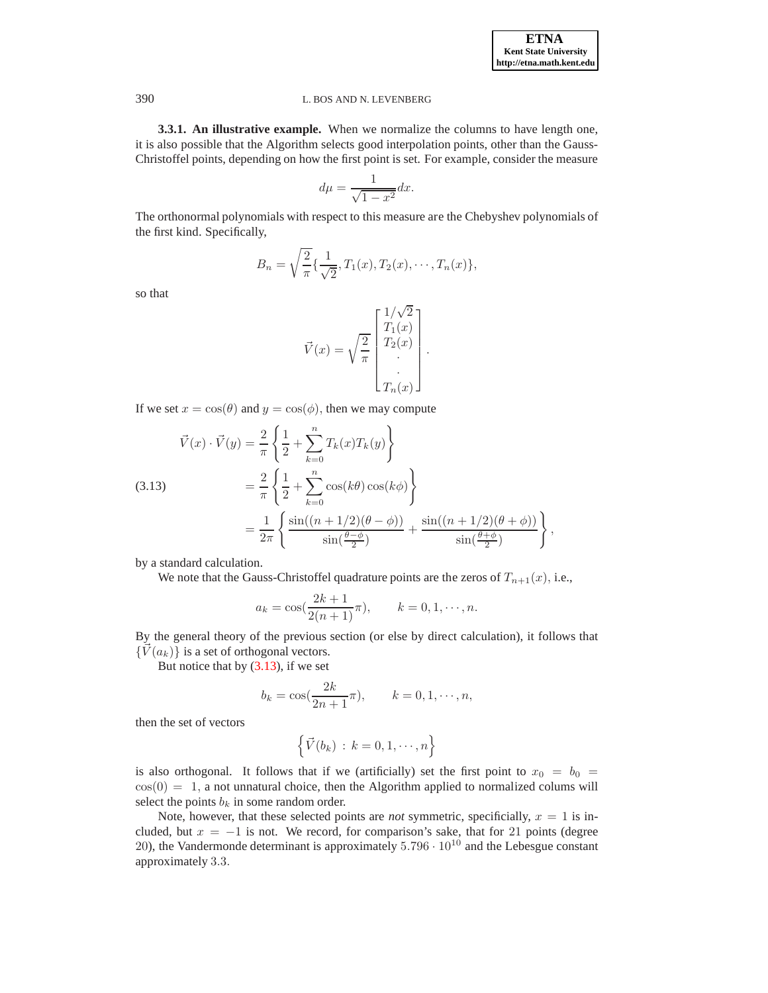**3.3.1. An illustrative example.** When we normalize the columns to have length one, it is also possible that the Algorithm selects good interpolation points, other than the Gauss-Christoffel points, depending on how the first point is set. For example, consider the measure

$$
d\mu = \frac{1}{\sqrt{1 - x^2}} dx.
$$

The orthonormal polynomials with respect to this measure are the Chebyshev polynomials of the first kind. Specifically,

$$
B_n = \sqrt{\frac{2}{\pi}} \{ \frac{1}{\sqrt{2}}, T_1(x), T_2(x), \cdots, T_n(x) \},\
$$

so that

$$
\vec{V}(x) = \sqrt{\frac{2}{\pi}} \begin{bmatrix} 1/\sqrt{2} \\ T_1(x) \\ T_2(x) \\ \vdots \\ T_n(x) \end{bmatrix}.
$$

If we set  $x = \cos(\theta)$  and  $y = \cos(\phi)$ , then we may compute

<span id="page-13-0"></span>(3.13) 
$$
\vec{V}(x) \cdot \vec{V}(y) = \frac{2}{\pi} \left\{ \frac{1}{2} + \sum_{k=0}^{n} T_k(x) T_k(y) \right\} \n= \frac{2}{\pi} \left\{ \frac{1}{2} + \sum_{k=0}^{n} \cos(k\theta) \cos(k\phi) \right\} \n= \frac{1}{2\pi} \left\{ \frac{\sin((n+1/2)(\theta - \phi))}{\sin(\frac{\theta - \phi}{2})} + \frac{\sin((n+1/2)(\theta + \phi))}{\sin(\frac{\theta + \phi}{2})} \right\},
$$

by a standard calculation.

We note that the Gauss-Christoffel quadrature points are the zeros of  $T_{n+1}(x)$ , i.e.,

$$
a_k = \cos(\frac{2k+1}{2(n+1)}\pi),
$$
  $k = 0, 1, \dots, n.$ 

By the general theory of the previous section (or else by direct calculation), it follows that  $\{\vec{V}(a_k)\}\$ is a set of orthogonal vectors.

But notice that by  $(3.13)$ , if we set

$$
b_k = \cos(\frac{2k}{2n+1}\pi),
$$
  $k = 0, 1, \dots, n,$ 

then the set of vectors

$$
\left\{\vec{V}(b_k)\,:\,k=0,1,\cdots,n\right\}
$$

is also orthogonal. It follows that if we (artificially) set the first point to  $x_0 = b_0 =$  $cos(0) = 1$ , a not unnatural choice, then the Algorithm applied to normalized colums will select the points  $b_k$  in some random order.

Note, however, that these selected points are *not* symmetric, specificially,  $x = 1$  is included, but  $x = -1$  is not. We record, for comparison's sake, that for 21 points (degree 20), the Vandermonde determinant is approximately  $5.796 \cdot 10^{10}$  and the Lebesgue constant approximately 3.3.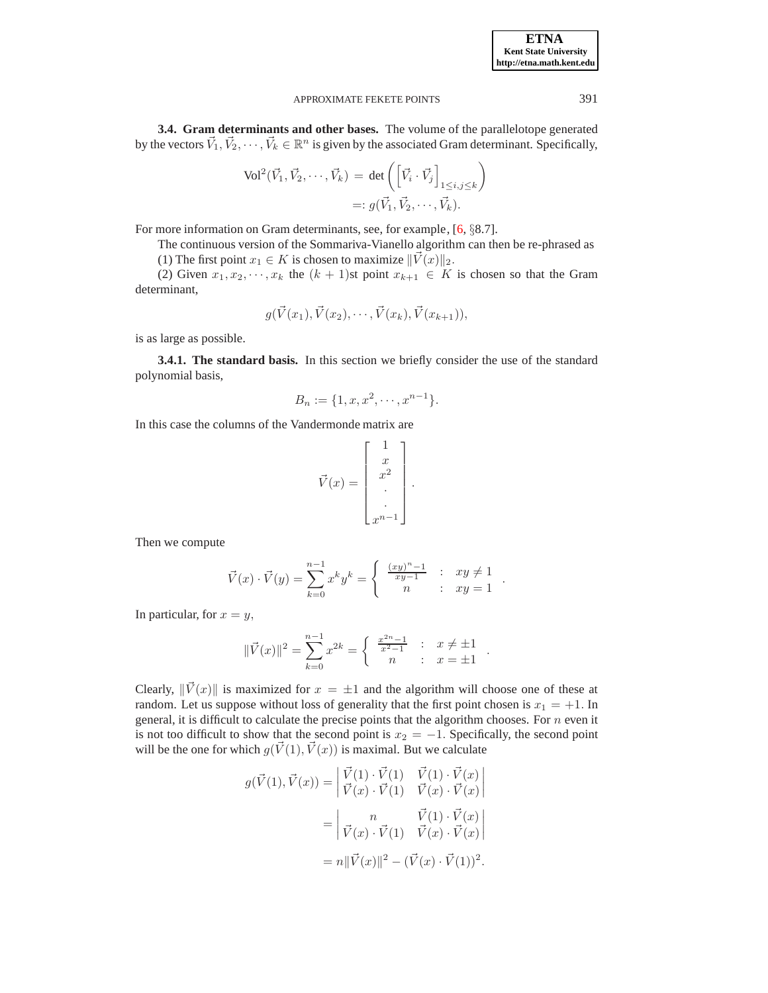**3.4. Gram determinants and other bases.** The volume of the parallelotope generated by the vectors  $\vec{V}_1, \vec{V}_2, \dots, \vec{V}_k \in \mathbb{R}^n$  is given by the associated Gram determinant. Specifically,

$$
\text{Vol}^2(\vec{V}_1, \vec{V}_2, \cdots, \vec{V}_k) = \det \left( \begin{bmatrix} \vec{V}_i \cdot \vec{V}_j \end{bmatrix}_{1 \le i, j \le k} \right)
$$

$$
=: g(\vec{V}_1, \vec{V}_2, \cdots, \vec{V}_k).
$$

For more information on Gram determinants, see, for example, [\[6,](#page-20-7) §8.7].

The continuous version of the Sommariva-Vianello algorithm can then be re-phrased as (1) The first point  $x_1 \in K$  is chosen to maximize  $\|\vec{V}(x)\|_2$ .

(2) Given  $x_1, x_2, \dots, x_k$  the  $(k + 1)$ st point  $x_{k+1} \in K$  is chosen so that the Gram determinant,

$$
g(\vec{V}(x_1), \vec{V}(x_2), \cdots, \vec{V}(x_k), \vec{V}(x_{k+1})),
$$

is as large as possible.

**3.4.1. The standard basis.** In this section we briefly consider the use of the standard polynomial basis,

$$
B_n := \{1, x, x^2, \cdots, x^{n-1}\}.
$$

In this case the columns of the Vandermonde matrix are

$$
\vec{V}(x) = \begin{bmatrix} 1 \\ x \\ x^2 \\ \vdots \\ x^{n-1} \end{bmatrix}.
$$

Then we compute

$$
\vec{V}(x) \cdot \vec{V}(y) = \sum_{k=0}^{n-1} x^k y^k = \begin{cases} \frac{(xy)^n - 1}{xy - 1} & \text{: } xy \neq 1 \\ n & \text{: } xy = 1 \end{cases}.
$$

In particular, for  $x = y$ ,

$$
\|\vec{V}(x)\|^2 = \sum_{k=0}^{n-1} x^{2k} = \begin{cases} \frac{x^{2n}-1}{x^2-1} & \text{if } x \neq \pm 1 \\ n & \text{if } x = \pm 1 \end{cases}.
$$

Clearly,  $\|\vec{V}(x)\|$  is maximized for  $x = \pm 1$  and the algorithm will choose one of these at random. Let us suppose without loss of generality that the first point chosen is  $x_1 = +1$ . In general, it is difficult to calculate the precise points that the algorithm chooses. For  $n$  even it is not too difficult to show that the second point is  $x_2 = -1$ . Specifically, the second point will be the one for which  $g(\vec{V}(1), \vec{V}(x))$  is maximal. But we calculate

$$
g(\vec{V}(1), \vec{V}(x)) = \begin{vmatrix} \vec{V}(1) \cdot \vec{V}(1) & \vec{V}(1) \cdot \vec{V}(x) \\ \vec{V}(x) \cdot \vec{V}(1) & \vec{V}(x) \cdot \vec{V}(x) \end{vmatrix}
$$
  
= 
$$
\begin{vmatrix} n & \vec{V}(1) \cdot \vec{V}(x) \\ \vec{V}(x) \cdot \vec{V}(1) & \vec{V}(x) \cdot \vec{V}(x) \end{vmatrix}
$$
  
= 
$$
n \|\vec{V}(x)\|^2 - (\vec{V}(x) \cdot \vec{V}(1))^2.
$$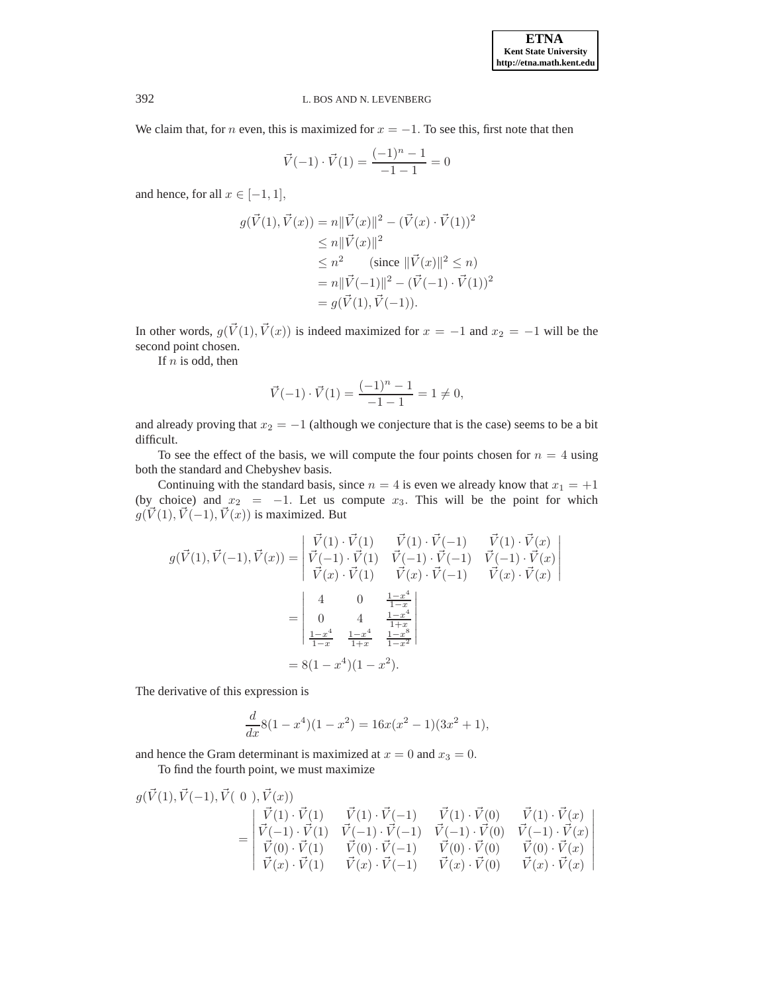We claim that, for n even, this is maximized for  $x = -1$ . To see this, first note that then

$$
\vec{V}(-1) \cdot \vec{V}(1) = \frac{(-1)^n - 1}{-1 - 1} = 0
$$

and hence, for all  $x \in [-1, 1]$ ,

$$
g(\vec{V}(1), \vec{V}(x)) = n||\vec{V}(x)||^2 - (\vec{V}(x) \cdot \vec{V}(1))^2
$$
  
\n
$$
\leq n||\vec{V}(x)||^2
$$
  
\n
$$
\leq n^2 \quad \text{(since } ||\vec{V}(x)||^2 \leq n)
$$
  
\n
$$
= n||\vec{V}(-1)||^2 - (\vec{V}(-1) \cdot \vec{V}(1))^2
$$
  
\n
$$
= g(\vec{V}(1), \vec{V}(-1)).
$$

In other words,  $g(\vec{V}(1), \vec{V}(x))$  is indeed maximized for  $x = -1$  and  $x_2 = -1$  will be the second point chosen.

If  $n$  is odd, then

$$
\vec{V}(-1) \cdot \vec{V}(1) = \frac{(-1)^n - 1}{-1 - 1} = 1 \neq 0,
$$

and already proving that  $x_2 = -1$  (although we conjecture that is the case) seems to be a bit difficult.

To see the effect of the basis, we will compute the four points chosen for  $n = 4$  using both the standard and Chebyshev basis.

Continuing with the standard basis, since  $n = 4$  is even we already know that  $x_1 = +1$ (by choice) and  $x_2 = -1$ . Let us compute  $x_3$ . This will be the point for which  $g(\vec{V}(1), \vec{V}(-1), \vec{V}(x))$  is maximized. But

$$
g(\vec{V}(1), \vec{V}(-1), \vec{V}(x)) = \begin{vmatrix} \vec{V}(1) \cdot \vec{V}(1) & \vec{V}(1) \cdot \vec{V}(-1) & \vec{V}(1) \cdot \vec{V}(x) \\ \vec{V}(-1) \cdot \vec{V}(1) & \vec{V}(-1) \cdot \vec{V}(-1) & \vec{V}(-1) \cdot \vec{V}(x) \\ \vec{V}(x) \cdot \vec{V}(1) & \vec{V}(x) \cdot \vec{V}(-1) & \vec{V}(x) \cdot \vec{V}(x) \end{vmatrix}
$$
  
= 
$$
\begin{vmatrix} 4 & 0 & \frac{1-x^4}{1-x} \\ 0 & 4 & \frac{1-x^4}{1+x} \\ \frac{1-x^4}{1+x} & \frac{1-x^8}{1+x} \end{vmatrix}
$$
  
= 8(1 - x<sup>4</sup>)(1 - x<sup>2</sup>).

The derivative of this expression is

$$
\frac{d}{dx}8(1-x^4)(1-x^2) = 16x(x^2-1)(3x^2+1),
$$

and hence the Gram determinant is maximized at  $x = 0$  and  $x_3 = 0$ .

To find the fourth point, we must maximize

$$
g(\vec{V}(1), \vec{V}(-1), \vec{V}(-1), \vec{V}(0), \vec{V}(x)) = \begin{vmatrix} \vec{V}(1) \cdot \vec{V}(1) & \vec{V}(1) \cdot \vec{V}(-1) & \vec{V}(1) \cdot \vec{V}(0) & \vec{V}(1) \cdot \vec{V}(x) \\ \vec{V}(-1) \cdot \vec{V}(1) & \vec{V}(-1) \cdot \vec{V}(-1) & \vec{V}(-1) \cdot \vec{V}(0) & \vec{V}(-1) \cdot \vec{V}(x) \\ \vec{V}(0) \cdot \vec{V}(1) & \vec{V}(0) \cdot \vec{V}(-1) & \vec{V}(0) \cdot \vec{V}(0) & \vec{V}(0) \cdot \vec{V}(x) \\ \vec{V}(x) \cdot \vec{V}(1) & \vec{V}(x) \cdot \vec{V}(-1) & \vec{V}(x) \cdot \vec{V}(0) & \vec{V}(x) \cdot \vec{V}(x) \end{vmatrix}
$$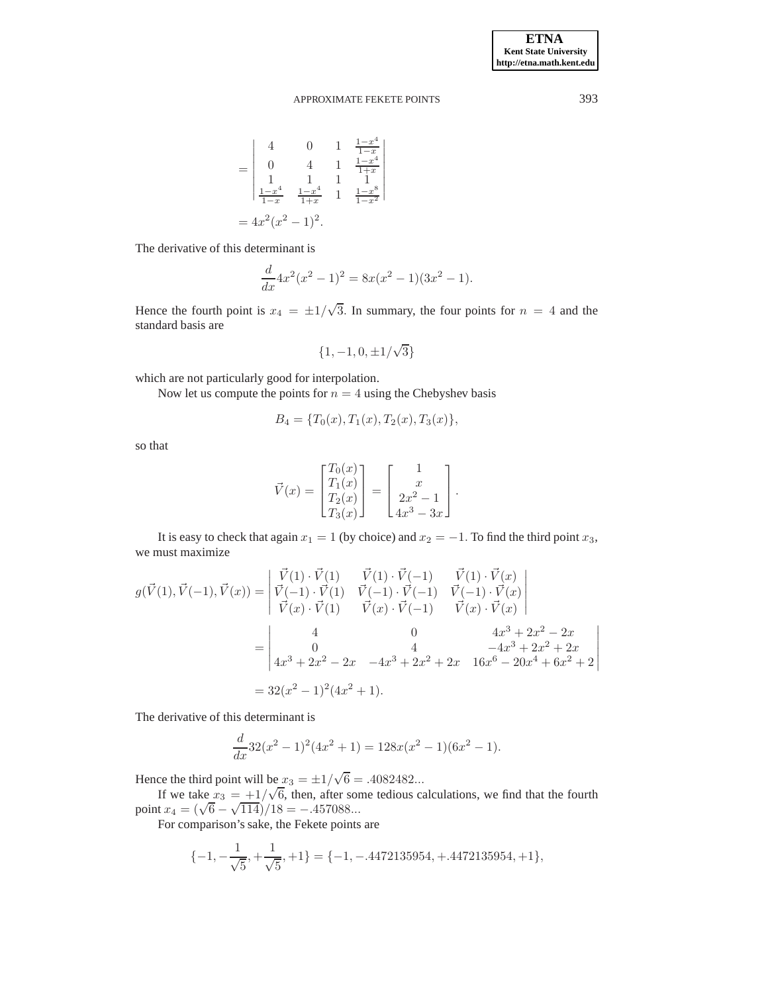= 4 0 1  $\frac{1-x^4}{1-x}$  $1-x$ 0 4 1  $\frac{1-x^4}{1+x}$  $\begin{bmatrix} 0 & 4 & 1 & 1+x \\ 1 & 1 & 1 & 1 \end{bmatrix}$  $\frac{1-x^4}{x-1}$  $\frac{1-x^4}{1-x}$   $\frac{1-x^4}{1+x}$  $\frac{1-x^4}{1+x}$  1  $\frac{1-x^8}{1-x^2}$  $1-x^2$  $\begin{array}{c} \hline \end{array}$ I I I I I I  $\overline{\phantom{a}}$  $= 4x^2(x^2-1)^2.$ 

The derivative of this determinant is

$$
\frac{d}{dx}4x^2(x^2-1)^2 = 8x(x^2-1)(3x^2-1).
$$

Hence the fourth point is  $x_4 = \pm 1/\sqrt{3}$ . In summary, the four points for  $n = 4$  and the standard basis are

$$
\{1,-1,0,\pm 1/\sqrt{3}\}
$$

which are not particularly good for interpolation.

Now let us compute the points for  $n = 4$  using the Chebyshev basis

$$
B_4 = \{T_0(x), T_1(x), T_2(x), T_3(x)\},\
$$

so that

$$
\vec{V}(x) = \begin{bmatrix} T_0(x) \\ T_1(x) \\ T_2(x) \\ T_3(x) \end{bmatrix} = \begin{bmatrix} 1 \\ x \\ 2x^2 - 1 \\ 4x^3 - 3x \end{bmatrix}.
$$

It is easy to check that again  $x_1 = 1$  (by choice) and  $x_2 = -1$ . To find the third point  $x_3$ , we must maximize

$$
g(\vec{V}(1), \vec{V}(-1), \vec{V}(x)) = \begin{vmatrix} \vec{V}(1) \cdot \vec{V}(1) & \vec{V}(1) \cdot \vec{V}(-1) & \vec{V}(1) \cdot \vec{V}(x) \\ \vec{V}(-1) \cdot \vec{V}(1) & \vec{V}(-1) \cdot \vec{V}(-1) & \vec{V}(-1) \cdot \vec{V}(x) \\ \vec{V}(x) \cdot \vec{V}(1) & \vec{V}(x) \cdot \vec{V}(-1) & \vec{V}(x) \cdot \vec{V}(x) \end{vmatrix}
$$
  
= 
$$
\begin{vmatrix} 4 & 0 & 4x^3 + 2x^2 - 2x \\ 0 & 4 & -4x^3 + 2x^2 + 2x \\ 4x^3 + 2x^2 - 2x & -4x^3 + 2x^2 + 2x & 16x^6 - 20x^4 + 6x^2 + 2 \end{vmatrix}
$$
  
= 
$$
32(x^2 - 1)^2(4x^2 + 1).
$$

The derivative of this determinant is

$$
\frac{d}{dx}32(x^2-1)^2(4x^2+1) = 128x(x^2-1)(6x^2-1).
$$

Hence the third point will be  $x_3 = \pm 1/\sqrt{6} = .4082482...$ 

If we take  $x_3 = +1/\sqrt{6}$ , then, after some tedious calculations, we find that the fourth point  $x_4 = (\sqrt{6} - \sqrt{114})/18 = -.457088...$ 

For comparison's sake, the Fekete points are

$$
\{-1, -\frac{1}{\sqrt{5}}, +\frac{1}{\sqrt{5}}, +1\} = \{-1, -.4472135954, +.4472135954, +1\},\
$$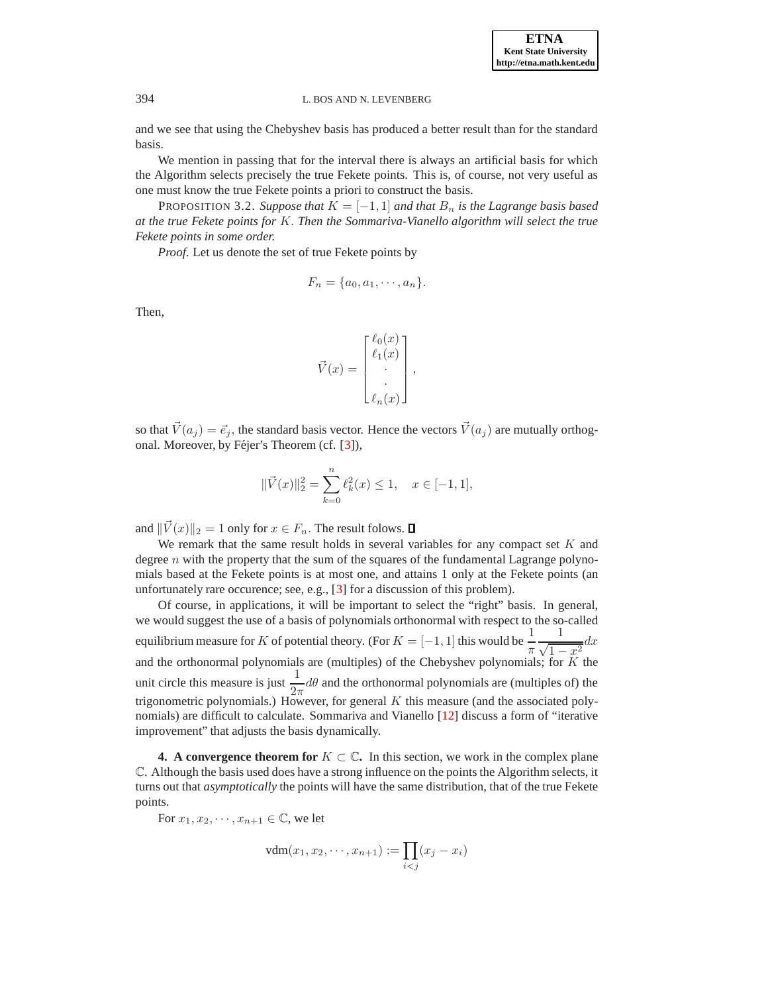**ETNA Kent State University http://etna.math.kent.edu**

and we see that using the Chebyshev basis has produced a better result than for the standard basis.

We mention in passing that for the interval there is always an artificial basis for which the Algorithm selects precisely the true Fekete points. This is, of course, not very useful as one must know the true Fekete points a priori to construct the basis.

PROPOSITION 3.2. *Suppose that*  $K = [-1, 1]$  *and that*  $B_n$  *is the Lagrange basis based at the true Fekete points for* K. *Then the Sommariva-Vianello algorithm will select the true Fekete points in some order.*

*Proof*. Let us denote the set of true Fekete points by

$$
F_n = \{a_0, a_1, \cdots, a_n\}.
$$

Then,

$$
\vec{V}(x) = \begin{bmatrix} \ell_0(x) \\ \ell_1(x) \\ \vdots \\ \ell_n(x) \end{bmatrix},
$$

so that  $\vec{V}(a_i) = \vec{e}_i$ , the standard basis vector. Hence the vectors  $\vec{V}(a_i)$  are mutually orthog-onal. Moreover, by Féjer's Theorem (cf. [\[3\]](#page-20-8)),

$$
\|\vec{V}(x)\|_2^2=\sum_{k=0}^n \ell_k^2(x)\leq 1, \quad x\in[-1,1],
$$

and  $\|\vec{V}(x)\|_2 = 1$  only for  $x \in F_n$ . The result folows.  $\Box$ 

We remark that the same result holds in several variables for any compact set  $K$  and degree  $n$  with the property that the sum of the squares of the fundamental Lagrange polynomials based at the Fekete points is at most one, and attains 1 only at the Fekete points (an unfortunately rare occurence; see, e.g., [\[3\]](#page-20-8) for a discussion of this problem).

Of course, in applications, it will be important to select the "right" basis. In general, we would suggest the use of a basis of polynomials orthonormal with respect to the so-called equilibrium measure for K of potential theory. (For  $K = [-1, 1]$  this would be  $\frac{1}{\pi}$ π 1  $\frac{1}{\sqrt{1-x^2}}dx$ and the orthonormal polynomials are (multiples) of the Chebyshev polynomials; for  $\tilde{K}$  the unit circle this measure is just  $\frac{1}{2\pi}d\theta$  and the orthonormal polynomials are (multiples of) the trigonometric polynomials.) However, for general  $K$  this measure (and the associated polynomials) are difficult to calculate. Sommariva and Vianello [\[12\]](#page-20-1) discuss a form of "iterative improvement" that adjusts the basis dynamically.

<span id="page-17-0"></span>**4. A convergence theorem for**  $K \subset \mathbb{C}$ . In this section, we work in the complex plane C. Although the basis used does have a strong influence on the points the Algorithm selects, it turns out that *asymptotically* the points will have the same distribution, that of the true Fekete points.

For  $x_1, x_2, \dots, x_{n+1} \in \mathbb{C}$ , we let

$$
vdm(x_1, x_2, \cdots, x_{n+1}) := \prod_{i < j} (x_j - x_i)
$$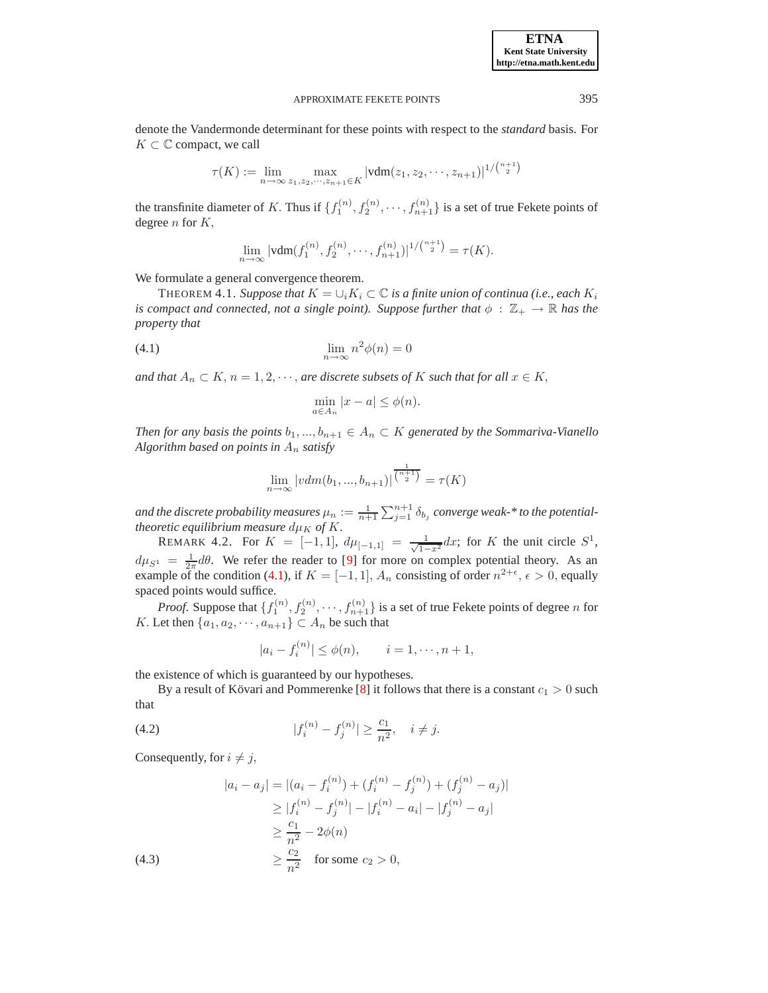denote the Vandermonde determinant for these points with respect to the *standard* basis. For  $K \subset \mathbb{C}$  compact, we call

$$
\tau(K) := \lim_{n \to \infty} \max_{z_1, z_2, \dots, z_{n+1} \in K} |\text{vdm}(z_1, z_2, \dots, z_{n+1})|^{1/{\binom{n+1}{2}}}
$$

the transfinite diameter of K. Thus if  $\{f_1^{(n)}, f_2^{(n)}, \cdots, f_{n+1}^{(n)}\}$  is a set of true Fekete points of degree  $n$  for  $K$ ,

$$
\lim_{n \to \infty} |\text{vdm}(f_1^{(n)}, f_2^{(n)}, \cdots, f_{n+1}^{(n)})|^{1/{n+1 \choose 2}} = \tau(K).
$$

<span id="page-18-0"></span>We formulate a general convergence theorem.

THEOREM 4.1. *Suppose that*  $K = \bigcup_i K_i \subset \mathbb{C}$  *is a finite union of continua (i.e., each*  $K_i$ *is compact and connected, not a single point). Suppose further that*  $\phi : \mathbb{Z}_+ \to \mathbb{R}$  *has the property that*

$$
\lim_{n \to \infty} n^2 \phi(n) = 0
$$

*and that*  $A_n \subset K$ ,  $n = 1, 2, \dots$ , *are discrete subsets of* K *such that for all*  $x \in K$ ,

<span id="page-18-1"></span>
$$
\min_{a \in A_n} |x - a| \le \phi(n).
$$

*Then for any basis the points*  $b_1, ..., b_{n+1} \in A_n \subset K$  *generated by the Sommariva-Vianello Algorithm based on points in* A<sup>n</sup> *satisfy*

$$
\lim_{n \to \infty} |vdm(b_1, ..., b_{n+1})|^{\frac{1}{\binom{n+1}{2}}} = \tau(K)
$$

and the discrete probability measures  $\mu_n := \frac{1}{n+1} \sum_{j=1}^{n+1} \delta_{b_j}$  converge weak-\* to the potential*theoretic equilibrium measure*  $d\mu_K$  *of* K.

REMARK 4.2. For  $K = [-1, 1]$ ,  $d\mu_{[-1,1]} = \frac{1}{\sqrt{1-x^2}} dx$ ; for K the unit circle  $S^1$ ,  $d\mu_{S^1} = \frac{1}{2\pi} d\theta$ . We refer the reader to [\[9\]](#page-20-9) for more on complex potential theory. As an example of the condition [\(4.1\)](#page-18-1), if  $K = [-1, 1]$ ,  $A_n$  consisting of order  $n^{2+\epsilon}$ ,  $\epsilon > 0$ , equally spaced points would suffice.

*Proof.* Suppose that  $\{f_1^{(n)}, f_2^{(n)}, \dots, f_{n+1}^{(n)}\}$  is a set of true Fekete points of degree *n* for K. Let then  $\{a_1, a_2, \dots, a_{n+1}\} \subset A_n$  be such that

$$
|a_i - f_i^{(n)}| \le \phi(n), \qquad i = 1, \dots, n+1,
$$

the existence of which is guaranteed by our hypotheses.

By a result of Kövari and Pommerenke [\[8\]](#page-20-10) it follows that there is a constant  $c_1 > 0$  such that

(4.2) 
$$
|f_i^{(n)} - f_j^{(n)}| \ge \frac{c_1}{n^2}, \quad i \ne j.
$$

Consequently, for  $i \neq j$ ,

$$
|a_i - a_j| = |(a_i - f_i^{(n)}) + (f_i^{(n)} - f_j^{(n)}) + (f_j^{(n)} - a_j)|
$$
  
\n
$$
\ge |f_i^{(n)} - f_j^{(n)}| - |f_i^{(n)} - a_i| - |f_j^{(n)} - a_j|
$$
  
\n
$$
\ge \frac{c_1}{n^2} - 2\phi(n)
$$
  
\n(4.3)  
\n
$$
\ge \frac{c_2}{n^2} \quad \text{for some } c_2 > 0,
$$

**ETNA Kent State University http://etna.math.kent.edu**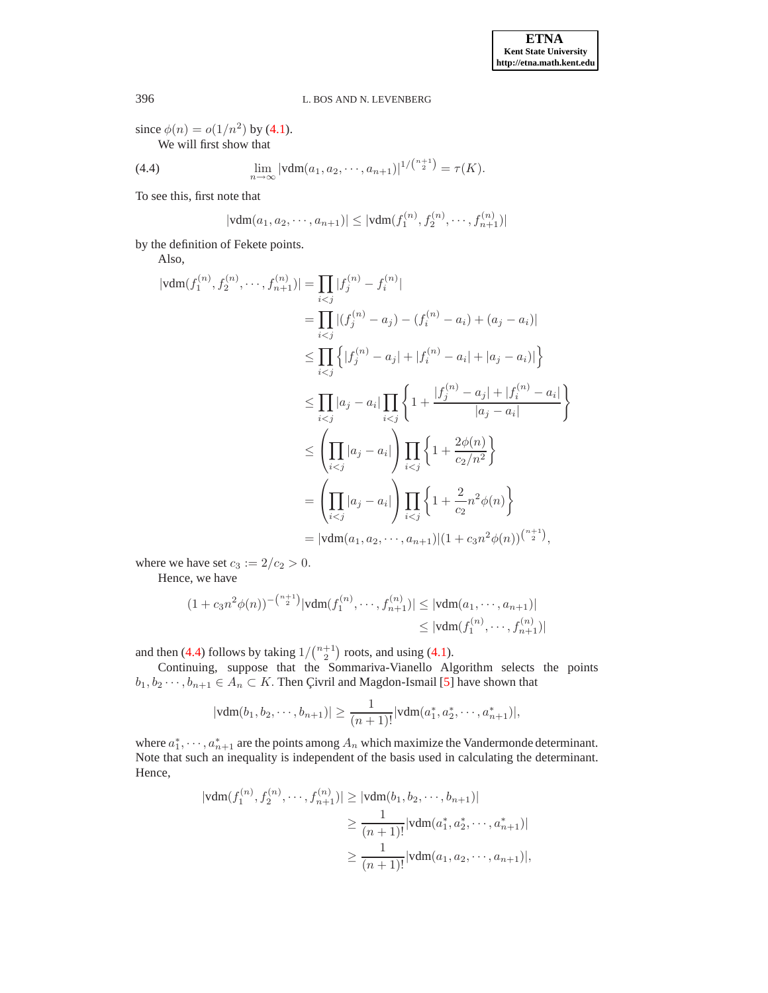since  $\phi(n) = o(1/n^2)$  by [\(4.1\)](#page-18-1). We will first show that

<span id="page-19-0"></span>(4.4) 
$$
\lim_{n \to \infty} |\text{vdm}(a_1, a_2, \cdots, a_{n+1})|^{1/{n+1 \choose 2}} = \tau(K).
$$

To see this, first note that

$$
|\text{vdm}(a_1, a_2, \cdots, a_{n+1})| \leq |\text{vdm}(f_1^{(n)}, f_2^{(n)}, \cdots, f_{n+1}^{(n)})|
$$

by the definition of Fekete points.

Also,

$$
|\text{vdm}(f_1^{(n)}, f_2^{(n)}, \dots, f_{n+1}^{(n)})| = \prod_{i < j} |f_j^{(n)} - f_i^{(n)}|
$$
\n
$$
= \prod_{i < j} |(f_j^{(n)} - a_j) - (f_i^{(n)} - a_i) + (a_j - a_i)|
$$
\n
$$
\leq \prod_{i < j} \left\{ |f_j^{(n)} - a_j| + |f_i^{(n)} - a_i| + |a_j - a_i| \right\}
$$
\n
$$
\leq \prod_{i < j} |a_j - a_i| \prod_{i < j} \left\{ 1 + \frac{|f_j^{(n)} - a_j| + |f_i^{(n)} - a_i|}{|a_j - a_i|} \right\}
$$
\n
$$
\leq \left( \prod_{i < j} |a_j - a_i| \right) \prod_{i < j} \left\{ 1 + \frac{2\phi(n)}{c_2/n^2} \right\}
$$
\n
$$
= \left( \prod_{i < j} |a_j - a_i| \right) \prod_{i < j} \left\{ 1 + \frac{2}{c_2/n^2} \right\}
$$
\n
$$
= |\text{vdm}(a_1, a_2, \dots, a_{n+1})| (1 + c_3 n^2 \phi(n)) \binom{n+1}{2},
$$

where we have set  $c_3 := 2/c_2 > 0$ .

Hence, we have

$$
(1 + c_3 n^2 \phi(n))^{-\binom{n+1}{2}} |\text{vdm}(f_1^{(n)}, \cdots, f_{n+1}^{(n)})| \leq |\text{vdm}(a_1, \cdots, a_{n+1})|
$$
  

$$
\leq |\text{vdm}(f_1^{(n)}, \cdots, f_{n+1}^{(n)})|
$$

and then [\(4.4\)](#page-19-0) follows by taking  $1/{\binom{n+1}{2}}$  roots, and using [\(4.1\)](#page-18-1).

Continuing, suppose that the Sommariva-Vianello Algorithm selects the points  $b_1, b_2 \cdots, b_{n+1} \in A_n \subset K$ . Then Çivril and Magdon-Ismail [\[5\]](#page-20-11) have shown that

$$
|\text{vdm}(b_1, b_2, \cdots, b_{n+1})| \ge \frac{1}{(n+1)!} |\text{vdm}(a_1^*, a_2^*, \cdots, a_{n+1}^*)|,
$$

where  $a_1^*, \dots, a_{n+1}^*$  are the points among  $A_n$  which maximize the Vandermonde determinant. Note that such an inequality is independent of the basis used in calculating the determinant. Hence,

$$
|\text{vdm}(f_1^{(n)}, f_2^{(n)}, \dots, f_{n+1}^{(n)})| \ge |\text{vdm}(b_1, b_2, \dots, b_{n+1})|
$$
  

$$
\ge \frac{1}{(n+1)!} |\text{vdm}(a_1^*, a_2^*, \dots, a_{n+1}^*)|
$$
  

$$
\ge \frac{1}{(n+1)!} |\text{vdm}(a_1, a_2, \dots, a_{n+1})|,
$$